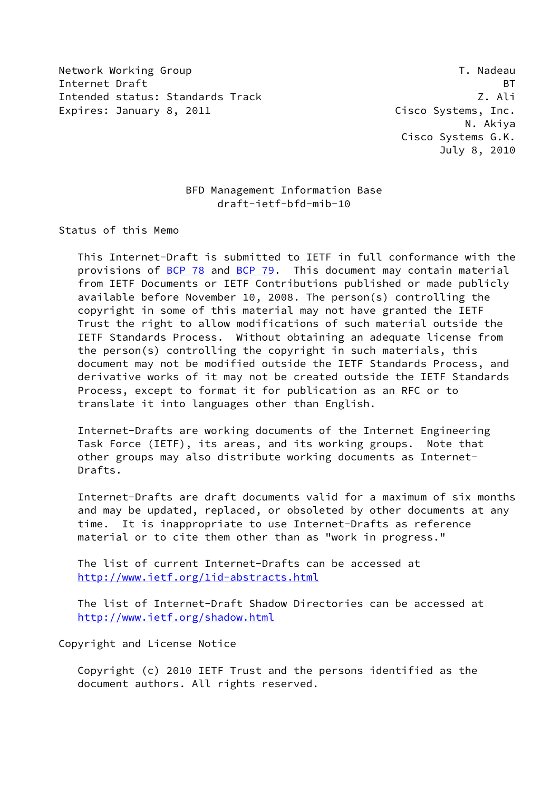Network Working Group T. Nadeau Network Alexander Management of the U.S. of the U.S. of the U.S. of the U.S. o Internet Draft BT Intended status: Standards Track Z. Ali Expires: January 8, 2011 **Cisco Systems, Inc.** 

 N. Akiya Cisco Systems G.K. July 8, 2010

# BFD Management Information Base draft-ietf-bfd-mib-10

Status of this Memo

 This Internet-Draft is submitted to IETF in full conformance with the provisions of [BCP 78](https://datatracker.ietf.org/doc/pdf/bcp78) and [BCP 79](https://datatracker.ietf.org/doc/pdf/bcp79). This document may contain material from IETF Documents or IETF Contributions published or made publicly available before November 10, 2008. The person(s) controlling the copyright in some of this material may not have granted the IETF Trust the right to allow modifications of such material outside the IETF Standards Process. Without obtaining an adequate license from the person(s) controlling the copyright in such materials, this document may not be modified outside the IETF Standards Process, and derivative works of it may not be created outside the IETF Standards Process, except to format it for publication as an RFC or to translate it into languages other than English.

 Internet-Drafts are working documents of the Internet Engineering Task Force (IETF), its areas, and its working groups. Note that other groups may also distribute working documents as Internet- Drafts.

 Internet-Drafts are draft documents valid for a maximum of six months and may be updated, replaced, or obsoleted by other documents at any time. It is inappropriate to use Internet-Drafts as reference material or to cite them other than as "work in progress."

 The list of current Internet-Drafts can be accessed at <http://www.ietf.org/1id-abstracts.html>

 The list of Internet-Draft Shadow Directories can be accessed at <http://www.ietf.org/shadow.html>

Copyright and License Notice

 Copyright (c) 2010 IETF Trust and the persons identified as the document authors. All rights reserved.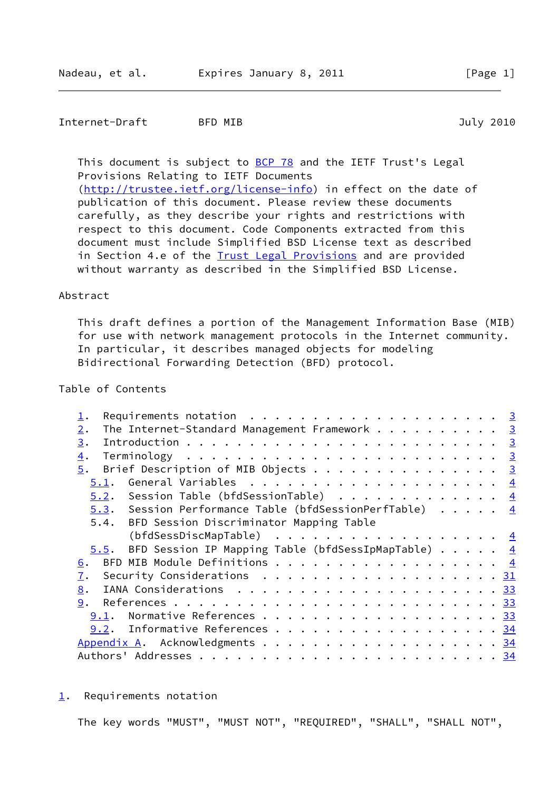## Internet-Draft BFD MIB 3010

This document is subject to **[BCP 78](https://datatracker.ietf.org/doc/pdf/bcp78)** and the IETF Trust's Legal Provisions Relating to IETF Documents [\(http://trustee.ietf.org/license-info](http://trustee.ietf.org/license-info)) in effect on the date of publication of this document. Please review these documents carefully, as they describe your rights and restrictions with respect to this document. Code Components extracted from this document must include Simplified BSD License text as described in Section 4.e of the **Trust Legal Provisions** and are provided without warranty as described in the Simplified BSD License.

## Abstract

 This draft defines a portion of the Management Information Base (MIB) for use with network management protocols in the Internet community. In particular, it describes managed objects for modeling Bidirectional Forwarding Detection (BFD) protocol.

## Table of Contents

| Requirements notation $\ldots \ldots \ldots \ldots \ldots \ldots$                             |  |
|-----------------------------------------------------------------------------------------------|--|
| The Internet-Standard Management Framework 3<br>2.                                            |  |
| 3.                                                                                            |  |
| $\overline{4}$ .                                                                              |  |
| $\frac{5}{2}$ . Brief Description of MIB Objects 3                                            |  |
| 5.1.                                                                                          |  |
| 5.2. Session Table (bfdSessionTable) $\frac{4}{5}$                                            |  |
| 5.3. Session Performance Table (bfdSessionPerfTable) 4                                        |  |
| 5.4. BFD Session Discriminator Mapping Table                                                  |  |
| (bfdSessDiscMapTable) $\frac{4}{5}$                                                           |  |
| 5.5. BFD Session IP Mapping Table (bfdSessIpMapTable) $\cdots$ $\cdots$ 4                     |  |
| <u>6</u> .                                                                                    |  |
| Security Considerations $\ldots \ldots \ldots \ldots \ldots \ldots \ldots \frac{31}{2}$<br>7. |  |
| 8.                                                                                            |  |
| 9.                                                                                            |  |
| 9.1.                                                                                          |  |
| 9.2. Informative References 34                                                                |  |
| Appendix A. Acknowledgments 34                                                                |  |
|                                                                                               |  |

#### <span id="page-1-0"></span>[1](#page-1-0). Requirements notation

The key words "MUST", "MUST NOT", "REQUIRED", "SHALL", "SHALL NOT",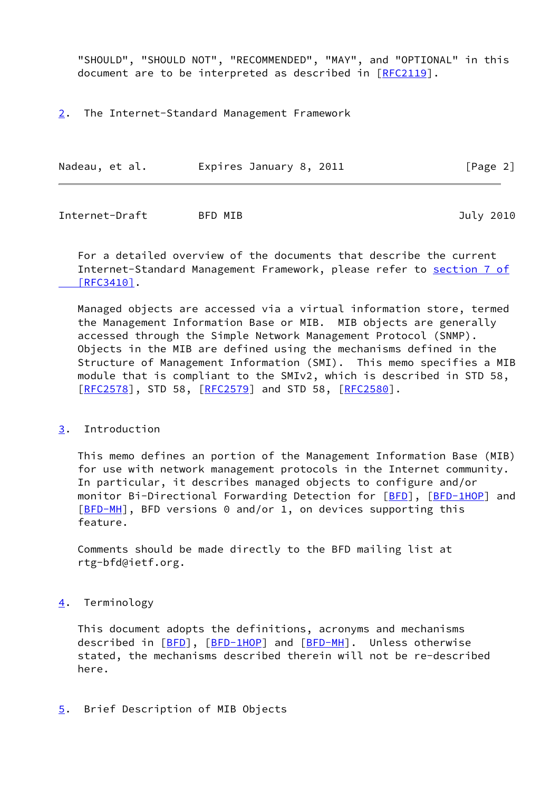"SHOULD", "SHOULD NOT", "RECOMMENDED", "MAY", and "OPTIONAL" in this document are to be interpreted as described in [\[RFC2119](https://datatracker.ietf.org/doc/pdf/rfc2119)].

<span id="page-2-1"></span>[2](#page-2-1). The Internet-Standard Management Framework

| Nadeau, et al. | Expires January 8, 2011 | [Page 2] |
|----------------|-------------------------|----------|
|----------------|-------------------------|----------|

<span id="page-2-0"></span>Internet-Draft BFD MIB July 2010

 For a detailed overview of the documents that describe the current Internet-Standard Management Framework, please refer to [section](https://datatracker.ietf.org/doc/pdf/rfc3410#section-7) 7 of  [\[RFC3410\]](https://datatracker.ietf.org/doc/pdf/rfc3410#section-7).

 Managed objects are accessed via a virtual information store, termed the Management Information Base or MIB. MIB objects are generally accessed through the Simple Network Management Protocol (SNMP). Objects in the MIB are defined using the mechanisms defined in the Structure of Management Information (SMI). This memo specifies a MIB module that is compliant to the SMIv2, which is described in STD 58, [\[RFC2578](https://datatracker.ietf.org/doc/pdf/rfc2578)], STD 58, [[RFC2579\]](https://datatracker.ietf.org/doc/pdf/rfc2579) and STD 58, [\[RFC2580](https://datatracker.ietf.org/doc/pdf/rfc2580)].

## <span id="page-2-2"></span>[3](#page-2-2). Introduction

 This memo defines an portion of the Management Information Base (MIB) for use with network management protocols in the Internet community. In particular, it describes managed objects to configure and/or monitor Bi-Directional Forwarding Detection for [\[BFD](#page-37-3)], [\[BFD-1HOP](#page-37-4)] and [\[BFD-MH](#page-37-5)], BFD versions 0 and/or 1, on devices supporting this feature.

 Comments should be made directly to the BFD mailing list at rtg-bfd@ietf.org.

## <span id="page-2-3"></span>[4](#page-2-3). Terminology

 This document adopts the definitions, acronyms and mechanisms described in [\[BFD](#page-37-3)], [\[BFD-1HOP](#page-37-4)] and [[BFD-MH](#page-37-5)]. Unless otherwise stated, the mechanisms described therein will not be re-described here.

## <span id="page-2-4"></span>[5](#page-2-4). Brief Description of MIB Objects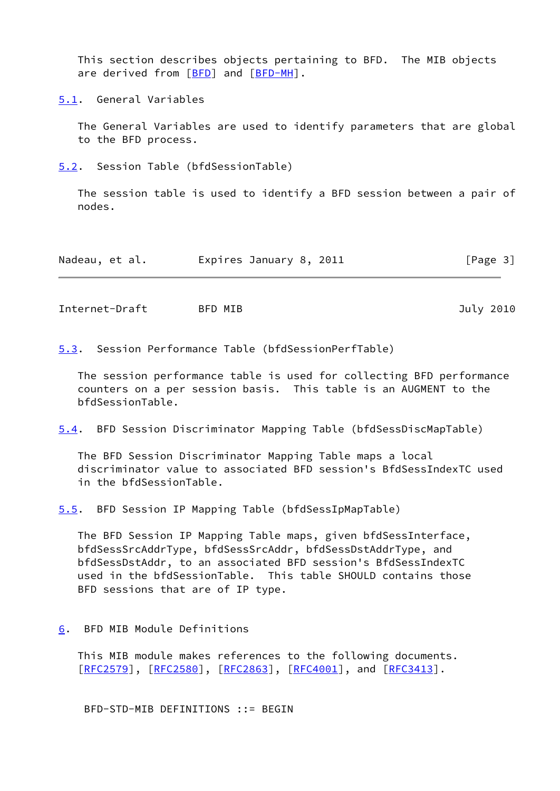This section describes objects pertaining to BFD. The MIB objects are derived from [\[BFD](#page-37-3)] and [[BFD-MH](#page-37-5)].

<span id="page-3-0"></span>[5.1](#page-3-0). General Variables

 The General Variables are used to identify parameters that are global to the BFD process.

<span id="page-3-2"></span>[5.2](#page-3-2). Session Table (bfdSessionTable)

 The session table is used to identify a BFD session between a pair of nodes.

| Nadeau, et al. | Expires January 8, 2011 | [Page 3] |
|----------------|-------------------------|----------|
|                |                         |          |

<span id="page-3-1"></span>Internet-Draft BFD MIB 3010

<span id="page-3-3"></span>[5.3](#page-3-3). Session Performance Table (bfdSessionPerfTable)

 The session performance table is used for collecting BFD performance counters on a per session basis. This table is an AUGMENT to the bfdSessionTable.

<span id="page-3-6"></span>[5.4](#page-3-6). BFD Session Discriminator Mapping Table (bfdSessDiscMapTable)

 The BFD Session Discriminator Mapping Table maps a local discriminator value to associated BFD session's BfdSessIndexTC used in the bfdSessionTable.

<span id="page-3-4"></span>[5.5](#page-3-4). BFD Session IP Mapping Table (bfdSessIpMapTable)

 The BFD Session IP Mapping Table maps, given bfdSessInterface, bfdSessSrcAddrType, bfdSessSrcAddr, bfdSessDstAddrType, and bfdSessDstAddr, to an associated BFD session's BfdSessIndexTC used in the bfdSessionTable. This table SHOULD contains those BFD sessions that are of IP type.

<span id="page-3-5"></span>[6](#page-3-5). BFD MIB Module Definitions

 This MIB module makes references to the following documents. [\[RFC2579](https://datatracker.ietf.org/doc/pdf/rfc2579)], [[RFC2580\]](https://datatracker.ietf.org/doc/pdf/rfc2580), [[RFC2863](https://datatracker.ietf.org/doc/pdf/rfc2863)], [\[RFC4001](https://datatracker.ietf.org/doc/pdf/rfc4001)], and [\[RFC3413](https://datatracker.ietf.org/doc/pdf/rfc3413)].

BFD-STD-MIB DEFINITIONS ::= BEGIN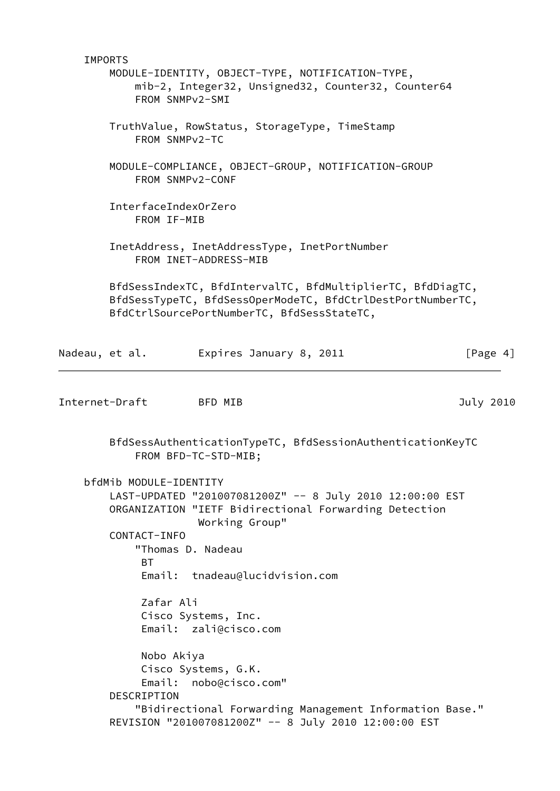IMPORTS MODULE-IDENTITY, OBJECT-TYPE, NOTIFICATION-TYPE, mib-2, Integer32, Unsigned32, Counter32, Counter64 FROM SNMPv2-SMI TruthValue, RowStatus, StorageType, TimeStamp FROM SNMPv2-TC MODULE-COMPLIANCE, OBJECT-GROUP, NOTIFICATION-GROUP FROM SNMPv2-CONF InterfaceIndexOrZero FROM IF-MIB InetAddress, InetAddressType, InetPortNumber FROM INET-ADDRESS-MIB BfdSessIndexTC, BfdIntervalTC, BfdMultiplierTC, BfdDiagTC, BfdSessTypeTC, BfdSessOperModeTC, BfdCtrlDestPortNumberTC, BfdCtrlSourcePortNumberTC, BfdSessStateTC, Nadeau, et al. Expires January 8, 2011 [Page 4] Internet-Draft BFD MIB 3010 BfdSessAuthenticationTypeTC, BfdSessionAuthenticationKeyTC FROM BFD-TC-STD-MIB; bfdMib MODULE-IDENTITY LAST-UPDATED "201007081200Z" -- 8 July 2010 12:00:00 EST ORGANIZATION "IETF Bidirectional Forwarding Detection Working Group" CONTACT-INFO "Thomas D. Nadeau **BT**  Email: tnadeau@lucidvision.com Zafar Ali Cisco Systems, Inc. Email: zali@cisco.com Nobo Akiya Cisco Systems, G.K. Email: nobo@cisco.com" DESCRIPTION "Bidirectional Forwarding Management Information Base." REVISION "201007081200Z" -- 8 July 2010 12:00:00 EST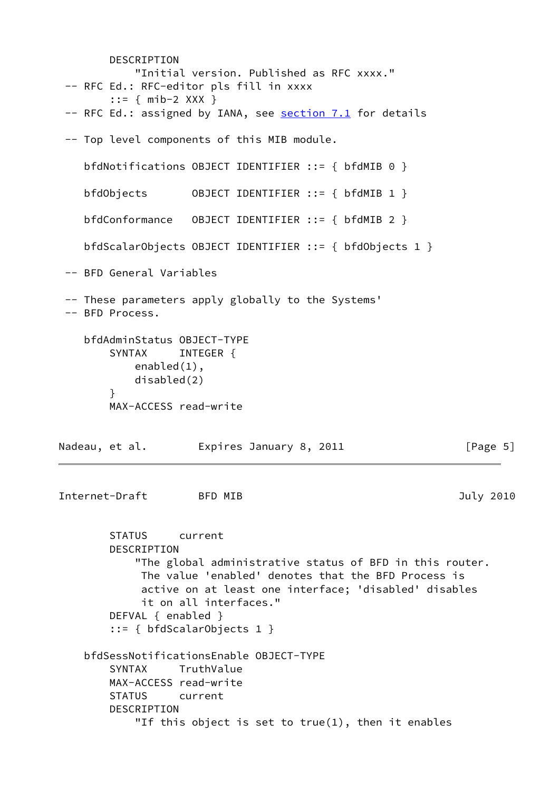DESCRIPTION "Initial version. Published as RFC xxxx." -- RFC Ed.: RFC-editor pls fill in xxxx ::= { mib-2 XXX } -- RFC Ed.: assigned by IANA, see section 7.1 for details -- Top level components of this MIB module. bfdNotifications OBJECT IDENTIFIER ::= { bfdMIB 0 } bfdObjects OBJECT IDENTIFIER ::= { bfdMIB 1 } bfdConformance OBJECT IDENTIFIER ::= { bfdMIB 2 } bfdScalarObjects OBJECT IDENTIFIER ::= { bfdObjects 1 } -- BFD General Variables -- These parameters apply globally to the Systems' -- BFD Process. bfdAdminStatus OBJECT-TYPE SYNTAX INTEGER { enabled(1), disabled(2) } MAX-ACCESS read-write Nadeau, et al. Expires January 8, 2011 [Page 5] Internet-Draft BFD MIB 3010 STATUS current DESCRIPTION "The global administrative status of BFD in this router. The value 'enabled' denotes that the BFD Process is active on at least one interface; 'disabled' disables it on all interfaces." DEFVAL { enabled } ::= { bfdScalarObjects 1 } bfdSessNotificationsEnable OBJECT-TYPE SYNTAX TruthValue MAX-ACCESS read-write STATUS current DESCRIPTION "If this object is set to true(1), then it enables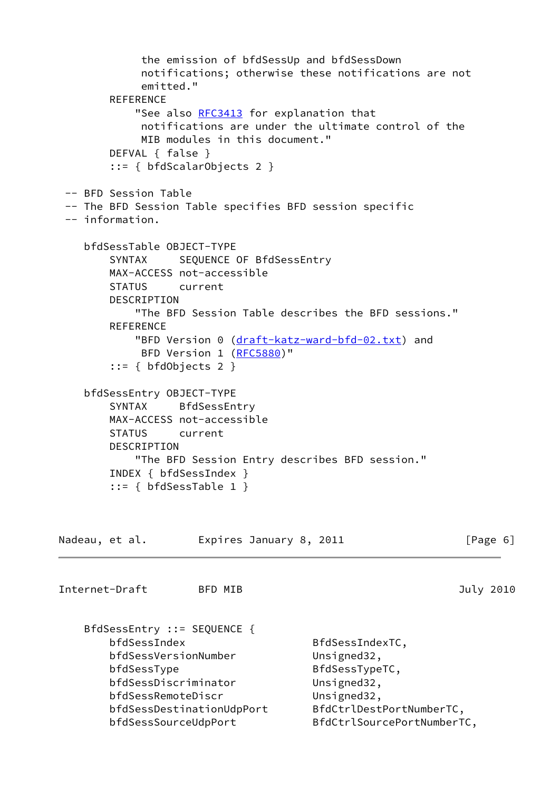```
 the emission of bfdSessUp and bfdSessDown
            notifications; otherwise these notifications are not
            emitted."
       REFERENCE
          RFC3413 for explanation that
            notifications are under the ultimate control of the
            MIB modules in this document."
        DEFVAL { false }
        ::= { bfdScalarObjects 2 }
 -- BFD Session Table
 -- The BFD Session Table specifies BFD session specific
 -- information.
    bfdSessTable OBJECT-TYPE
        SYNTAX SEQUENCE OF BfdSessEntry
        MAX-ACCESS not-accessible
        STATUS current
        DESCRIPTION
           "The BFD Session Table describes the BFD sessions."
        REFERENCE
          (draft-katz-ward-bfd-02.txt) and
           (RFC5880)"
        ::= { bfdObjects 2 }
    bfdSessEntry OBJECT-TYPE
        SYNTAX BfdSessEntry
        MAX-ACCESS not-accessible
        STATUS current
        DESCRIPTION
           "The BFD Session Entry describes BFD session."
        INDEX { bfdSessIndex }
        ::= { bfdSessTable 1 }
Nadeau, et al. 
Expires January 8, 2011

Expires 16, 2011
Internet-Draft BFD MIB 3010
    BfdSessEntry ::= SEQUENCE {
        bfdSessIndex BfdSessIndexTC,
       bfdSessVersionNumber Unsigned32,
       bfdSessType BfdSessTypeTC,
        bfdSessDiscriminator Unsigned32,
        bfdSessRemoteDiscr Unsigned32,
        bfdSessDestinationUdpPort BfdCtrlDestPortNumberTC,
        bfdSessSourceUdpPort BfdCtrlSourcePortNumberTC,
```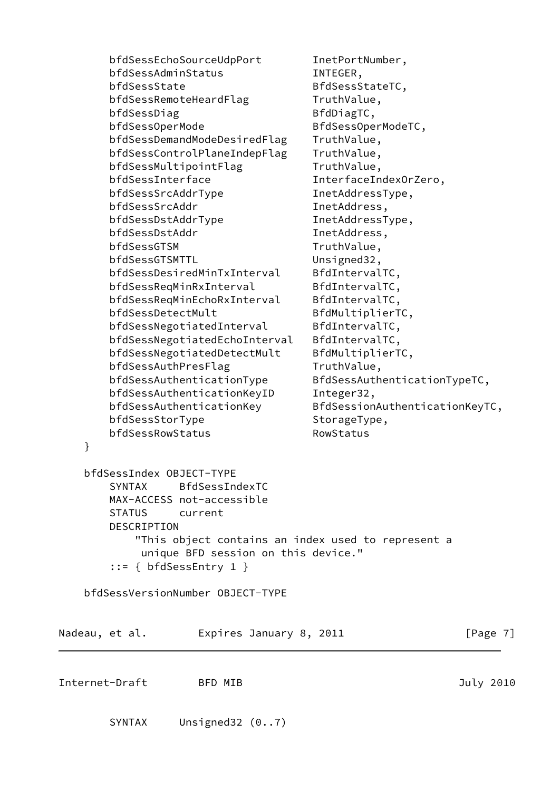bfdSessEchoSourceUdpPort InetPortNumber, bfdSessAdminStatus INTEGER, bfdSessState BfdSessStateTC, bfdSessRemoteHeardFlag TruthValue, bfdSessDiag BfdDiagTC, bfdSessOperMode BfdSessOperModeTC, bfdSessDemandModeDesiredFlag TruthValue, bfdSessControlPlaneIndepFlag TruthValue, bfdSessMultipointFlag TruthValue, bfdSessInterface InterfaceIndexOrZero, bfdSessSrcAddrType InetAddressType, bfdSessSrcAddr InetAddress, bfdSessDstAddrType InetAddressType, bfdSessDstAddr InetAddress, bfdSessGTSM TruthValue, bfdSessGTSMTTL Unsigned32, bfdSessDesiredMinTxInterval BfdIntervalTC, bfdSessReqMinRxInterval BfdIntervalTC, bfdSessReqMinEchoRxInterval BfdIntervalTC, bfdSessDetectMult
BfdMultiplierTC, bfdSessNegotiatedInterval BfdIntervalTC, bfdSessNegotiatedEchoInterval BfdIntervalTC, bfdSessNegotiatedDetectMult BfdMultiplierTC, bfdSessAuthPresFlag TruthValue, bfdSessAuthenticationType BfdSessAuthenticationTypeTC, bfdSessAuthenticationKeyID Integer32, bfdSessAuthenticationKey BfdSessionAuthenticationKeyTC, bfdSessStorType StorageType, bfdSessRowStatus RowStatus } bfdSessIndex OBJECT-TYPE SYNTAX BfdSessIndexTC MAX-ACCESS not-accessible STATUS current DESCRIPTION "This object contains an index used to represent a unique BFD session on this device." ::= { bfdSessEntry 1 } bfdSessVersionNumber OBJECT-TYPE Nadeau, et al. Expires January 8, 2011 [Page 7] Internet-Draft BFD MIB July 2010 SYNTAX Unsigned32 (0..7)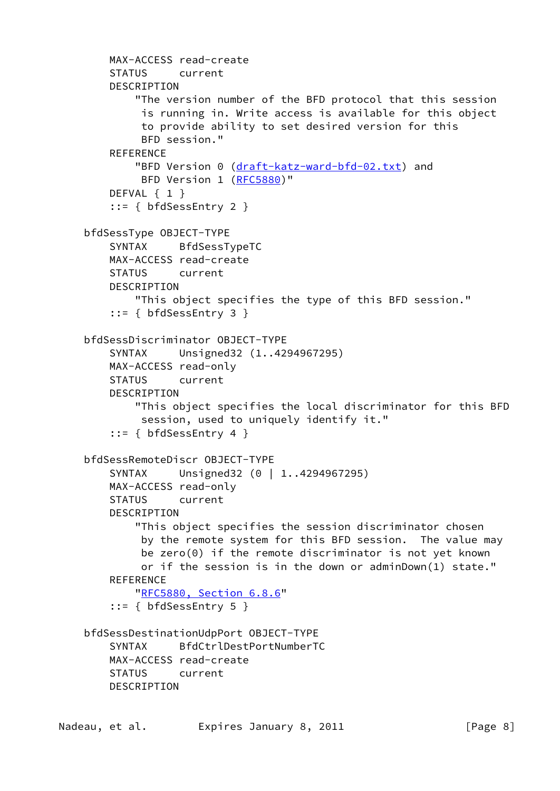```
 MAX-ACCESS read-create
     STATUS current
     DESCRIPTION
         "The version number of the BFD protocol that this session
          is running in. Write access is available for this object
          to provide ability to set desired version for this
          BFD session."
    REFERENCE
        (draft-katz-ward-bfd-02.txt) and
         BFD Version 1 (RFC5880)"
    DEFVAL { 1 }
     ::= { bfdSessEntry 2 }
 bfdSessType OBJECT-TYPE
     SYNTAX BfdSessTypeTC
    MAX-ACCESS read-create
     STATUS current
     DESCRIPTION
         "This object specifies the type of this BFD session."
     ::= { bfdSessEntry 3 }
 bfdSessDiscriminator OBJECT-TYPE
     SYNTAX Unsigned32 (1..4294967295)
    MAX-ACCESS read-only
     STATUS current
     DESCRIPTION
         "This object specifies the local discriminator for this BFD
         session, used to uniquely identify it."
     ::= { bfdSessEntry 4 }
 bfdSessRemoteDiscr OBJECT-TYPE
    SYNTAX Unsigned32 (0 | 1..4294967295)
     MAX-ACCESS read-only
     STATUS current
     DESCRIPTION
         "This object specifies the session discriminator chosen
         by the remote system for this BFD session. The value may
         be zero(0) if the remote discriminator is not yet known
         or if the session is in the down or adminDown(1) state."
     REFERENCE
         "RFC5880, Section 6.8.6"
     ::= { bfdSessEntry 5 }
 bfdSessDestinationUdpPort OBJECT-TYPE
     SYNTAX BfdCtrlDestPortNumberTC
     MAX-ACCESS read-create
     STATUS current
     DESCRIPTION
```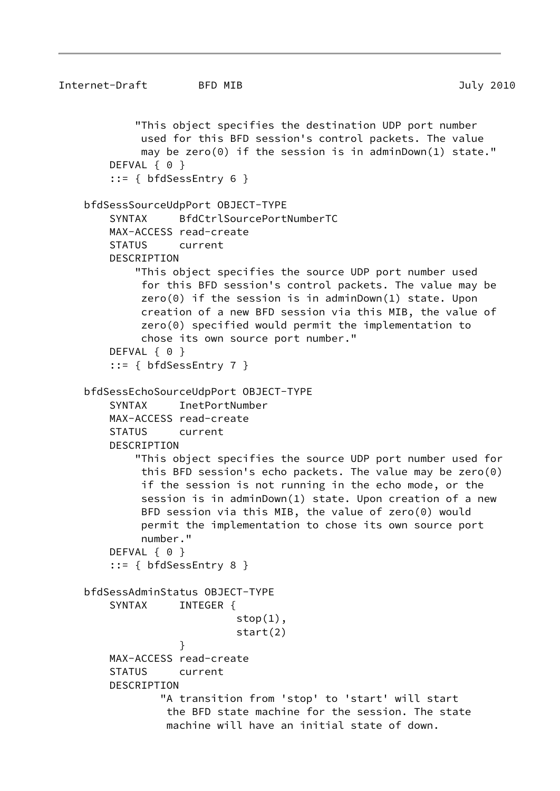```
Internet-Draft BFD MIB July 2010
            "This object specifies the destination UDP port number
             used for this BFD session's control packets. The value
             may be zero(0) if the session is in adminDown(1) state."
       DEFVAL { 0 }
         ::= { bfdSessEntry 6 }
    bfdSessSourceUdpPort OBJECT-TYPE
        SYNTAX BfdCtrlSourcePortNumberTC
        MAX-ACCESS read-create
        STATUS current
        DESCRIPTION
            "This object specifies the source UDP port number used
             for this BFD session's control packets. The value may be
             zero(0) if the session is in adminDown(1) state. Upon
             creation of a new BFD session via this MIB, the value of
             zero(0) specified would permit the implementation to
             chose its own source port number."
       DEFVAL { 0 }
         ::= { bfdSessEntry 7 }
    bfdSessEchoSourceUdpPort OBJECT-TYPE
        SYNTAX InetPortNumber
        MAX-ACCESS read-create
        STATUS current
        DESCRIPTION
            "This object specifies the source UDP port number used for
             this BFD session's echo packets. The value may be zero(0)
             if the session is not running in the echo mode, or the
             session is in adminDown(1) state. Upon creation of a new
             BFD session via this MIB, the value of zero(0) would
             permit the implementation to chose its own source port
             number."
       DEFVAL { 0 }
         ::= { bfdSessEntry 8 }
    bfdSessAdminStatus OBJECT-TYPE
       SYNTAX INTEGER {
                           stop(1),
                            start(2)
 }
        MAX-ACCESS read-create
        STATUS current
        DESCRIPTION
                "A transition from 'stop' to 'start' will start
                 the BFD state machine for the session. The state
                 machine will have an initial state of down.
```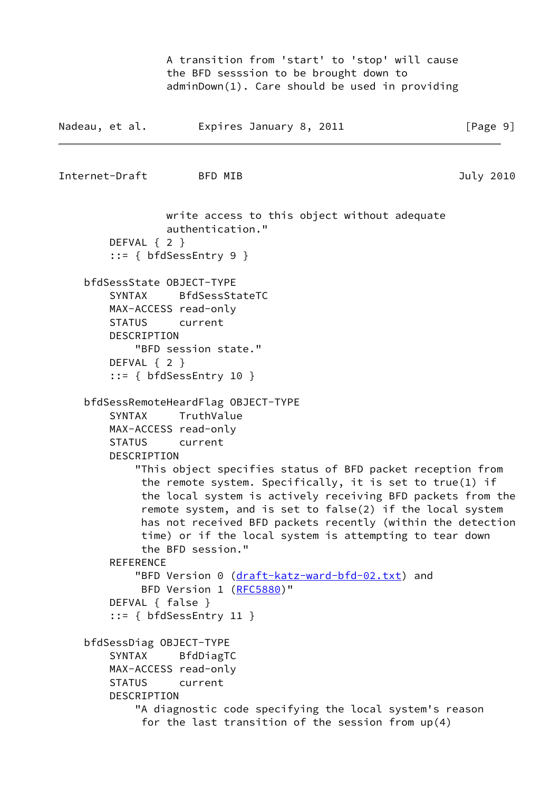A transition from 'start' to 'stop' will cause the BFD sesssion to be brought down to adminDown(1). Care should be used in providing

```
Nadeau, et al. 
Expires January 8, 2011

Fage 9]
```
Internet-Draft BFD MIB 3010

 write access to this object without adequate authentication." DEFVAL { 2 } ::= { bfdSessEntry 9 } bfdSessState OBJECT-TYPE SYNTAX BfdSessStateTC MAX-ACCESS read-only STATUS current DESCRIPTION "BFD session state." DEFVAL { 2 } ::= { bfdSessEntry 10 } bfdSessRemoteHeardFlag OBJECT-TYPE SYNTAX TruthValue MAX-ACCESS read-only STATUS current DESCRIPTION "This object specifies status of BFD packet reception from the remote system. Specifically, it is set to true(1) if the local system is actively receiving BFD packets from the remote system, and is set to false(2) if the local system has not received BFD packets recently (within the detection time) or if the local system is attempting to tear down the BFD session." **REFERENCE** "BFD Version 0 [\(draft-katz-ward-bfd-02.txt\)](https://datatracker.ietf.org/doc/pdf/draft-katz-ward-bfd-02.txt) and BFD Version 1 [\(RFC5880](https://datatracker.ietf.org/doc/pdf/rfc5880))" DEFVAL { false } ::= { bfdSessEntry 11 } bfdSessDiag OBJECT-TYPE SYNTAX BfdDiagTC MAX-ACCESS read-only STATUS current DESCRIPTION "A diagnostic code specifying the local system's reason for the last transition of the session from up(4)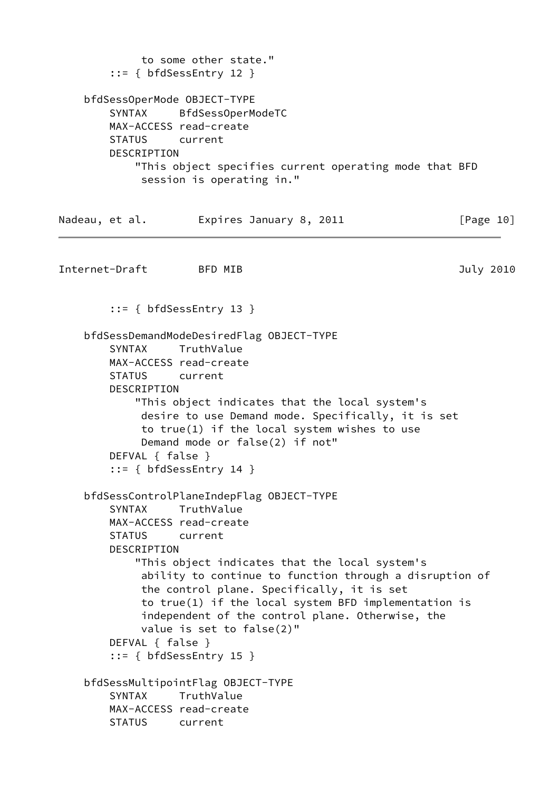```
 to some other state."
       ::= { bfdSessEntry 12 }
    bfdSessOperMode OBJECT-TYPE
        SYNTAX BfdSessOperModeTC
        MAX-ACCESS read-create
        STATUS current
        DESCRIPTION
            "This object specifies current operating mode that BFD
             session is operating in."
Nadeau, et al. Expires January 8, 2011 [Page 10]
Internet-Draft BFD MIB 3010
        ::= { bfdSessEntry 13 }
    bfdSessDemandModeDesiredFlag OBJECT-TYPE
        SYNTAX TruthValue
        MAX-ACCESS read-create
        STATUS current
        DESCRIPTION
            "This object indicates that the local system's
             desire to use Demand mode. Specifically, it is set
             to true(1) if the local system wishes to use
             Demand mode or false(2) if not"
        DEFVAL { false }
        ::= { bfdSessEntry 14 }
    bfdSessControlPlaneIndepFlag OBJECT-TYPE
        SYNTAX TruthValue
        MAX-ACCESS read-create
        STATUS current
        DESCRIPTION
            "This object indicates that the local system's
             ability to continue to function through a disruption of
             the control plane. Specifically, it is set
             to true(1) if the local system BFD implementation is
             independent of the control plane. Otherwise, the
             value is set to false(2)"
        DEFVAL { false }
        ::= { bfdSessEntry 15 }
    bfdSessMultipointFlag OBJECT-TYPE
        SYNTAX TruthValue
        MAX-ACCESS read-create
        STATUS current
```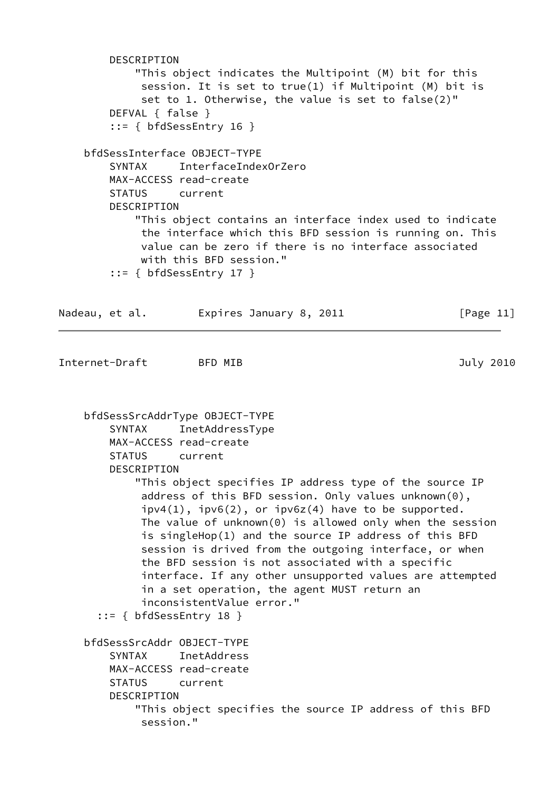DESCRIPTION "This object indicates the Multipoint (M) bit for this session. It is set to true(1) if Multipoint (M) bit is set to 1. Otherwise, the value is set to false(2)" DEFVAL { false } ::= { bfdSessEntry 16 } bfdSessInterface OBJECT-TYPE SYNTAX InterfaceIndexOrZero MAX-ACCESS read-create STATUS current DESCRIPTION "This object contains an interface index used to indicate the interface which this BFD session is running on. This value can be zero if there is no interface associated with this BFD session." ::= { bfdSessEntry 17 } Nadeau, et al. Expires January 8, 2011 [Page 11] Internet-Draft BFD MIB 3010 bfdSessSrcAddrType OBJECT-TYPE SYNTAX InetAddressType MAX-ACCESS read-create STATUS current DESCRIPTION "This object specifies IP address type of the source IP address of this BFD session. Only values unknown(0),  $ipv4(1)$ ,  $ipv6(2)$ , or  $ipv6z(4)$  have to be supported. The value of unknown(0) is allowed only when the session is singleHop(1) and the source IP address of this BFD session is drived from the outgoing interface, or when the BFD session is not associated with a specific interface. If any other unsupported values are attempted in a set operation, the agent MUST return an inconsistentValue error." ::= { bfdSessEntry 18 } bfdSessSrcAddr OBJECT-TYPE SYNTAX InetAddress MAX-ACCESS read-create STATUS current DESCRIPTION "This object specifies the source IP address of this BFD session."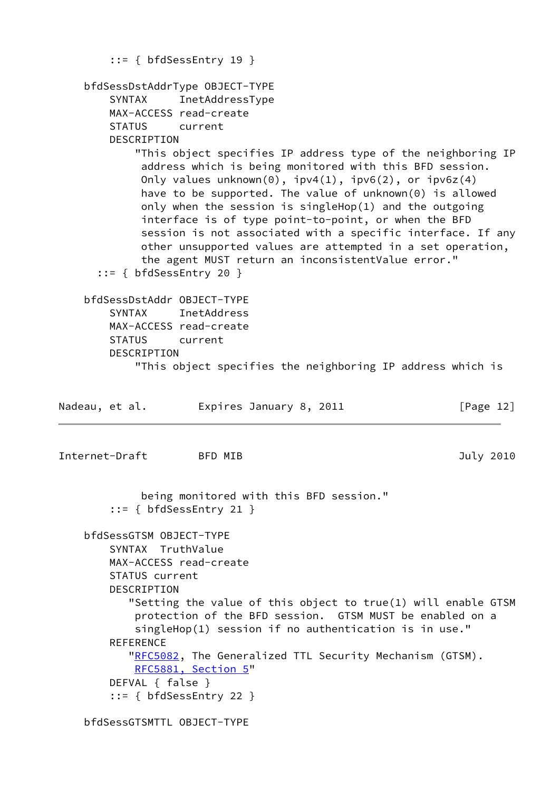|                |                         | $::= \{ bfdSessEntry 19 \}$                                            |              |
|----------------|-------------------------|------------------------------------------------------------------------|--------------|
|                |                         | bfdSessDstAddrType OBJECT-TYPE                                         |              |
|                | SYNTAX                  | InetAddressType                                                        |              |
|                |                         | MAX-ACCESS read-create                                                 |              |
|                | STATUS current          |                                                                        |              |
|                | DESCRIPTION             |                                                                        |              |
|                |                         | "This object specifies IP address type of the neighboring IP           |              |
|                |                         | address which is being monitored with this BFD session.                |              |
|                |                         | Only values unknown(0), $ipv4(1)$ , $ipv6(2)$ , or $ipv6z(4)$          |              |
|                |                         | have to be supported. The value of unknown(0) is allowed               |              |
|                |                         | only when the session is singleHop(1) and the outgoing                 |              |
|                |                         | interface is of type point-to-point, or when the BFD                   |              |
|                |                         | session is not associated with a specific interface. If any            |              |
|                |                         | other unsupported values are attempted in a set operation,             |              |
|                |                         | the agent MUST return an inconsistentValue error."                     |              |
|                |                         | $::= \{ bfdSessEntry 20 \}$                                            |              |
|                |                         |                                                                        |              |
|                |                         | bfdSessDstAddr OBJECT-TYPE                                             |              |
|                | SYNTAX                  | InetAddress                                                            |              |
|                |                         | MAX-ACCESS read-create                                                 |              |
|                | STATUS current          |                                                                        |              |
|                | DESCRIPTION             |                                                                        |              |
|                |                         | "This object specifies the neighboring IP address which is             |              |
| Nadeau, et al. |                         | Expires January 8, 2011                                                | [Page $12$ ] |
| Internet-Draft |                         | BFD MIB                                                                | July 2010    |
|                |                         |                                                                        |              |
|                |                         |                                                                        |              |
|                |                         | being monitored with this BFD session."<br>$::= \{ bfdSessEntry 21 \}$ |              |
|                | bfdSessGTSM OBJECT-TYPE |                                                                        |              |
|                | SYNTAX TruthValue       |                                                                        |              |
|                |                         | MAX-ACCESS read-create                                                 |              |
|                | STATUS current          |                                                                        |              |
|                | DESCRIPTION             |                                                                        |              |
|                |                         | "Setting the value of this object to true(1) will enable GTSM          |              |
|                |                         | protection of the BFD session. GTSM MUST be enabled on a               |              |
|                |                         | singleHop(1) session if no authentication is in use."                  |              |
|                | <b>REFERENCE</b>        |                                                                        |              |
|                |                         | "RFC5082, The Generalized TTL Security Mechanism (GTSM).               |              |
|                |                         | RFC5881, Section 5"                                                    |              |
|                | DEFVAL { false }        |                                                                        |              |
|                |                         | $::= \{ bfdSessEntry 22 \}$                                            |              |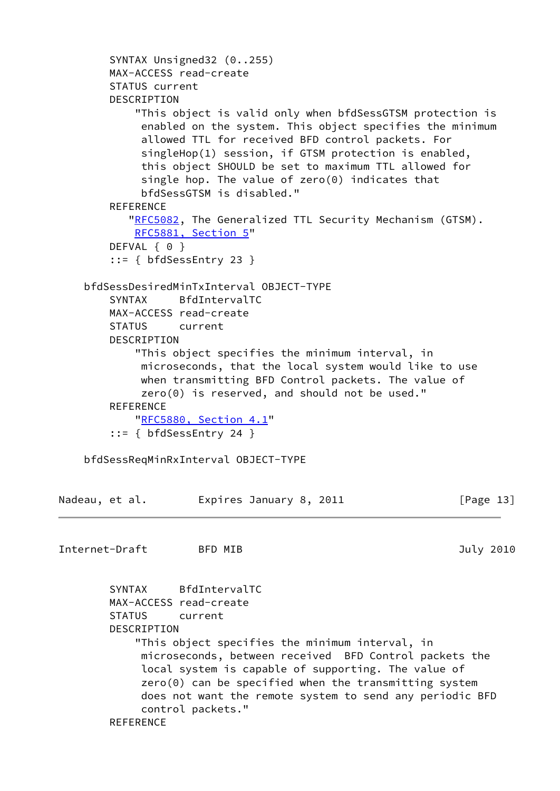```
 SYNTAX Unsigned32 (0..255)
        MAX-ACCESS read-create
        STATUS current
        DESCRIPTION
             "This object is valid only when bfdSessGTSM protection is
             enabled on the system. This object specifies the minimum
             allowed TTL for received BFD control packets. For
             singleHop(1) session, if GTSM protection is enabled,
             this object SHOULD be set to maximum TTL allowed for
             single hop. The value of zero(0) indicates that
             bfdSessGTSM is disabled."
       REFERENCE
          "RFC5082, The Generalized TTL Security Mechanism (GTSM).
            RFC5881, Section 5"
       DEFVAL { 0 }
         ::= { bfdSessEntry 23 }
     bfdSessDesiredMinTxInterval OBJECT-TYPE
        SYNTAX BfdIntervalTC
        MAX-ACCESS read-create
        STATUS current
        DESCRIPTION
             "This object specifies the minimum interval, in
             microseconds, that the local system would like to use
             when transmitting BFD Control packets. The value of
             zero(0) is reserved, and should not be used."
       REFERENCE
            "RFC5880, Section 4.1"
         ::= { bfdSessEntry 24 }
     bfdSessReqMinRxInterval OBJECT-TYPE
Nadeau, et al. Expires January 8, 2011 [Page 13]
Internet-Draft BFD MIB 3010
        SYNTAX BfdIntervalTC
        MAX-ACCESS read-create
        STATUS current
        DESCRIPTION
            "This object specifies the minimum interval, in
             microseconds, between received BFD Control packets the
             local system is capable of supporting. The value of
             zero(0) can be specified when the transmitting system
             does not want the remote system to send any periodic BFD
             control packets."
```

```
REFERENCE
```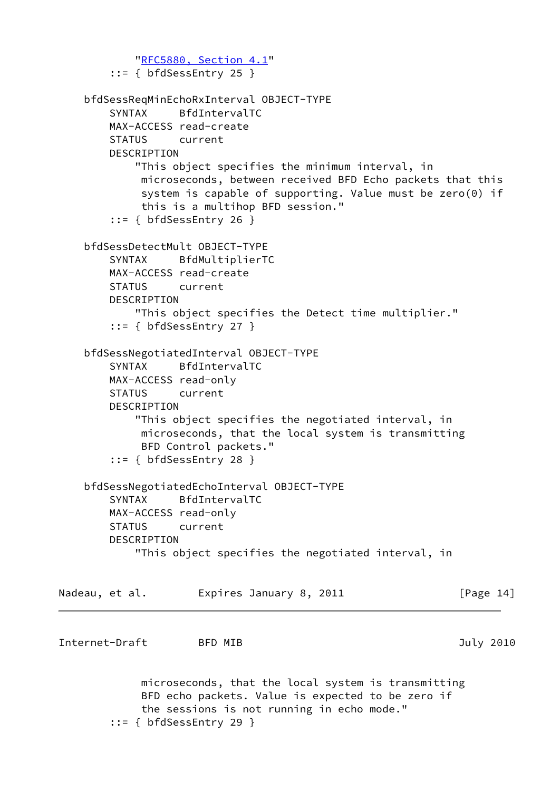```
 "RFC5880, Section 4.1"
         ::= { bfdSessEntry 25 }
     bfdSessReqMinEchoRxInterval OBJECT-TYPE
        SYNTAX BfdIntervalTC
        MAX-ACCESS read-create
        STATUS current
        DESCRIPTION
            "This object specifies the minimum interval, in
             microseconds, between received BFD Echo packets that this
             system is capable of supporting. Value must be zero(0) if
             this is a multihop BFD session."
         ::= { bfdSessEntry 26 }
     bfdSessDetectMult OBJECT-TYPE
        SYNTAX BfdMultiplierTC
        MAX-ACCESS read-create
        STATUS current
        DESCRIPTION
            "This object specifies the Detect time multiplier."
         ::= { bfdSessEntry 27 }
     bfdSessNegotiatedInterval OBJECT-TYPE
        SYNTAX BfdIntervalTC
        MAX-ACCESS read-only
        STATUS current
        DESCRIPTION
            "This object specifies the negotiated interval, in
             microseconds, that the local system is transmitting
             BFD Control packets."
         ::= { bfdSessEntry 28 }
     bfdSessNegotiatedEchoInterval OBJECT-TYPE
        SYNTAX BfdIntervalTC
        MAX-ACCESS read-only
        STATUS current
        DESCRIPTION
            "This object specifies the negotiated interval, in
Nadeau, et al.     Expires January 8, 2011           [Page 14]
Internet-Draft BFD MIB July 2010
             microseconds, that the local system is transmitting
             BFD echo packets. Value is expected to be zero if
             the sessions is not running in echo mode."
```
::= { bfdSessEntry 29 }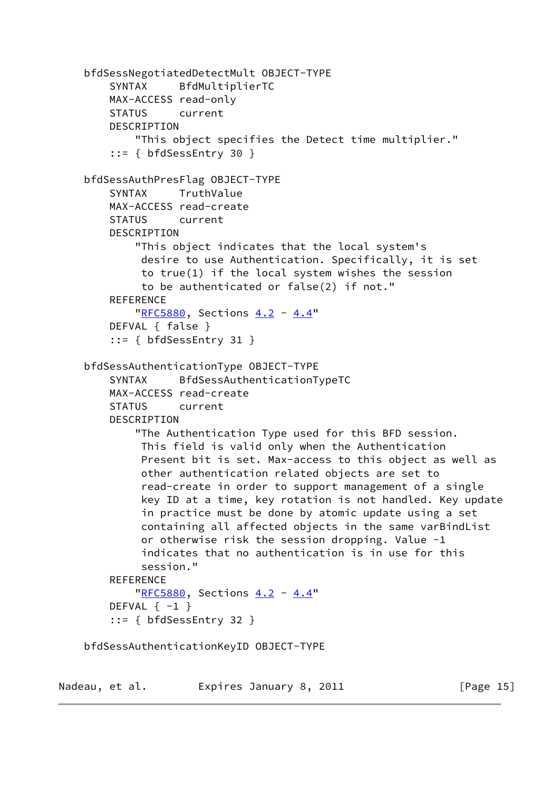```
 bfdSessNegotiatedDetectMult OBJECT-TYPE
     SYNTAX BfdMultiplierTC
     MAX-ACCESS read-only
     STATUS current
     DESCRIPTION
         "This object specifies the Detect time multiplier."
     ::= { bfdSessEntry 30 }
 bfdSessAuthPresFlag OBJECT-TYPE
     SYNTAX TruthValue
     MAX-ACCESS read-create
     STATUS current
     DESCRIPTION
         "This object indicates that the local system's
          desire to use Authentication. Specifically, it is set
          to true(1) if the local system wishes the session
          to be authenticated or false(2) if not."
     REFERENCE
         "RFC5880, Sections 4.2 - 4.4"
     DEFVAL { false }
     ::= { bfdSessEntry 31 }
 bfdSessAuthenticationType OBJECT-TYPE
     SYNTAX BfdSessAuthenticationTypeTC
     MAX-ACCESS read-create
     STATUS current
     DESCRIPTION
         "The Authentication Type used for this BFD session.
          This field is valid only when the Authentication
          Present bit is set. Max-access to this object as well as
          other authentication related objects are set to
          read-create in order to support management of a single
          key ID at a time, key rotation is not handled. Key update
          in practice must be done by atomic update using a set
          containing all affected objects in the same varBindList
          or otherwise risk the session dropping. Value -1
          indicates that no authentication is in use for this
          session."
     REFERENCE
        "RFC5880, Sections 4.2 - 4.4"
    DEFVAL \{-1\} ::= { bfdSessEntry 32 }
 bfdSessAuthenticationKeyID OBJECT-TYPE
```
Nadeau, et al. Expires January 8, 2011 [Page 15]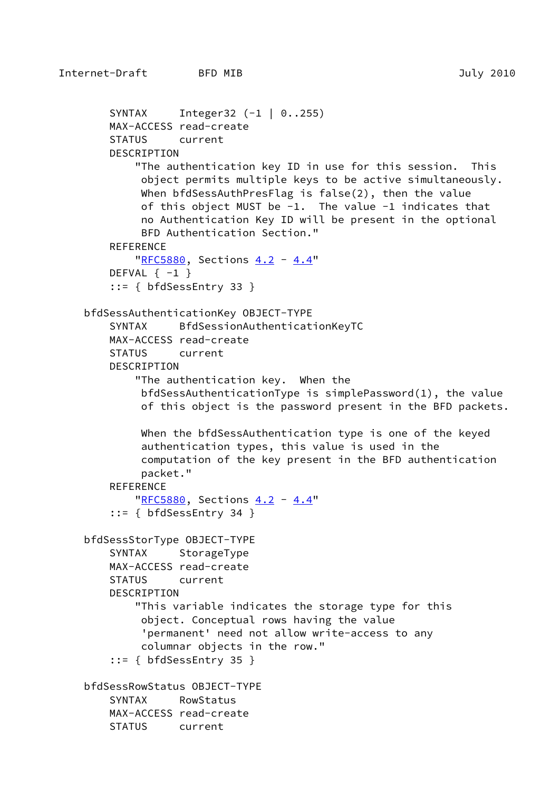DESCRIPTION

REFERENCE

DEFVAL  $\{-1\}$ 

DESCRIPTION

```
 SYNTAX Integer32 (-1 | 0..255)
     MAX-ACCESS read-create
     STATUS current
         "The authentication key ID in use for this session. This
          object permits multiple keys to be active simultaneously.
          When bfdSessAuthPresFlag is false(2), then the value
          of this object MUST be -1. The value -1 indicates that
          no Authentication Key ID will be present in the optional
          BFD Authentication Section."
         "RFC5880, Sections 4.2 - 4.4"
     ::= { bfdSessEntry 33 }
 bfdSessAuthenticationKey OBJECT-TYPE
     SYNTAX BfdSessionAuthenticationKeyTC
     MAX-ACCESS read-create
     STATUS current
         "The authentication key. When the
          bfdSessAuthenticationType is simplePassword(1), the value
          of this object is the password present in the BFD packets.
```

```
 When the bfdSessAuthentication type is one of the keyed
 authentication types, this value is used in the
 computation of the key present in the BFD authentication
 packet."
```
**REFERENCE** 

```
"RFC5880, Sections 4.2 - 4.4"
 ::= { bfdSessEntry 34 }
```

```
 bfdSessStorType OBJECT-TYPE
```

```
SYNTAX StorageType
 MAX-ACCESS read-create
```

```
 STATUS current
```
DESCRIPTION

```
 "This variable indicates the storage type for this
     object. Conceptual rows having the value
      'permanent' need not allow write-access to any
     columnar objects in the row."
 ::= { bfdSessEntry 35 }
```

```
 bfdSessRowStatus OBJECT-TYPE
    SYNTAX RowStatus
    MAX-ACCESS read-create
    STATUS current
```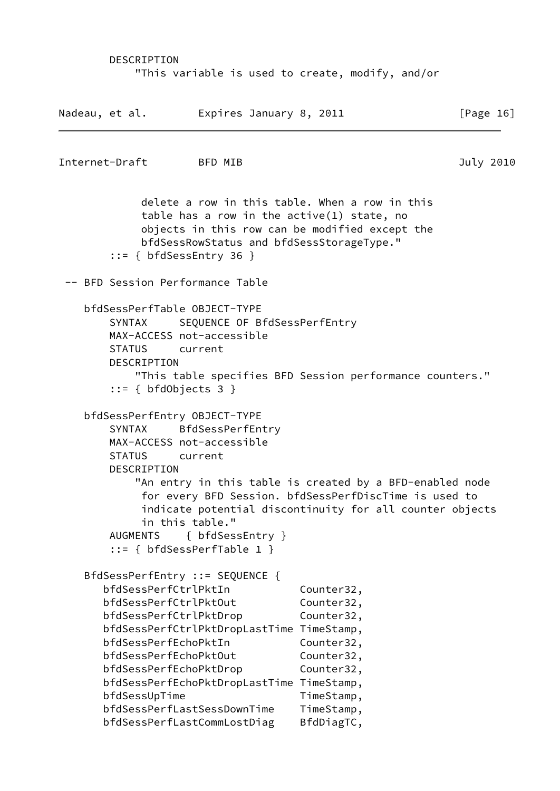#### DESCRIPTION

"This variable is used to create, modify, and/or

Nadeau, et al. Expires January 8, 2011 [Page 16] Internet-Draft BFD MIB 3010 delete a row in this table. When a row in this table has a row in the active(1) state, no objects in this row can be modified except the bfdSessRowStatus and bfdSessStorageType." ::= { bfdSessEntry 36 } -- BFD Session Performance Table bfdSessPerfTable OBJECT-TYPE SYNTAX SEQUENCE OF BfdSessPerfEntry MAX-ACCESS not-accessible STATUS current DESCRIPTION "This table specifies BFD Session performance counters." ::= { bfdObjects 3 } bfdSessPerfEntry OBJECT-TYPE SYNTAX BfdSessPerfEntry MAX-ACCESS not-accessible STATUS current DESCRIPTION "An entry in this table is created by a BFD-enabled node for every BFD Session. bfdSessPerfDiscTime is used to indicate potential discontinuity for all counter objects in this table." AUGMENTS { bfdSessEntry } ::= { bfdSessPerfTable 1 } BfdSessPerfEntry ::= SEQUENCE { bfdSessPerfCtrlPktIn Counter32, bfdSessPerfCtrlPktOut Counter32, bfdSessPerfCtrlPktDrop Counter32, bfdSessPerfCtrlPktDropLastTime TimeStamp, bfdSessPerfEchoPktIn Counter32, bfdSessPerfEchoPktOut Counter32, bfdSessPerfEchoPktDrop Counter32, bfdSessPerfEchoPktDropLastTime TimeStamp, bfdSessUpTime TimeStamp, bfdSessPerfLastSessDownTime TimeStamp, bfdSessPerfLastCommLostDiag BfdDiagTC,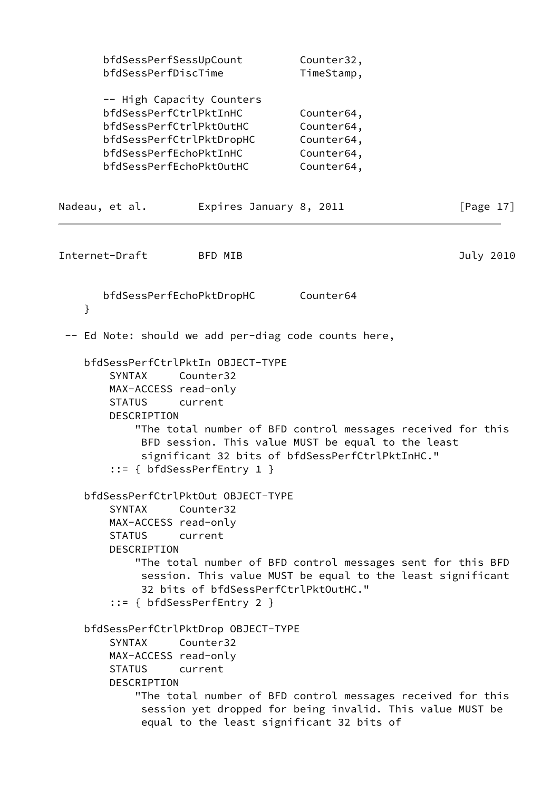| bfdSessPerfSessUpCount<br>bfdSessPerfDiscTime<br>-- High Capacity Counters<br>bfdSessPerfCtrlPktInHC<br>bfdSessPerfCtrlPktOutHC<br>bfdSessPerfCtrlPktDropHC<br>bfdSessPerfEchoPktInHC<br>bfdSessPerfEchoPktOutHC |                                                                                                                                                                                                                                                                                                                      | Counter32,<br>TimeStamp, |                                                                    |           |  |              |
|------------------------------------------------------------------------------------------------------------------------------------------------------------------------------------------------------------------|----------------------------------------------------------------------------------------------------------------------------------------------------------------------------------------------------------------------------------------------------------------------------------------------------------------------|--------------------------|--------------------------------------------------------------------|-----------|--|--------------|
|                                                                                                                                                                                                                  |                                                                                                                                                                                                                                                                                                                      |                          | Counter64,<br>Counter64,<br>Counter64,<br>Counter64,<br>Counter64, |           |  |              |
|                                                                                                                                                                                                                  | Nadeau, et al.                                                                                                                                                                                                                                                                                                       | Expires January 8, 2011  |                                                                    |           |  | [Page $17$ ] |
|                                                                                                                                                                                                                  | Internet-Draft                                                                                                                                                                                                                                                                                                       | BFD MIB                  |                                                                    |           |  | July 2010    |
| }                                                                                                                                                                                                                | bfdSessPerfEchoPktDropHC                                                                                                                                                                                                                                                                                             |                          |                                                                    | Counter64 |  |              |
|                                                                                                                                                                                                                  | -- Ed Note: should we add per-diag code counts here,                                                                                                                                                                                                                                                                 |                          |                                                                    |           |  |              |
|                                                                                                                                                                                                                  | bfdSessPerfCtrlPktIn OBJECT-TYPE<br>SYNTAX<br>MAX-ACCESS read-only<br><b>STATUS</b><br>DESCRIPTION<br>"The total number of BFD control messages received for this<br>BFD session. This value MUST be equal to the least<br>significant 32 bits of bfdSessPerfCtrlPktInHC."<br>$::= \{ bfdSessPerfEntry 1 \}$         | Counter32<br>current     |                                                                    |           |  |              |
|                                                                                                                                                                                                                  | bfdSessPerfCtrlPktOut OBJECT-TYPE<br>SYNTAX Counter32<br>MAX-ACCESS read-only<br><b>STATUS</b><br>DESCRIPTION<br>"The total number of BFD control messages sent for this BFD<br>session. This value MUST be equal to the least significant<br>32 bits of bfdSessPerfCtrlPktOutHC."<br>$::= \{ bfdSessPerfEntry 2 \}$ | current                  |                                                                    |           |  |              |
|                                                                                                                                                                                                                  | bfdSessPerfCtrlPktDrop OBJECT-TYPE<br><b>SYNTAX</b><br>MAX-ACCESS read-only<br><b>STATUS</b><br>DESCRIPTION<br>"The total number of BFD control messages received for this<br>session yet dropped for being invalid. This value MUST be<br>equal to the least significant 32 bits of                                 | Counter32<br>current     |                                                                    |           |  |              |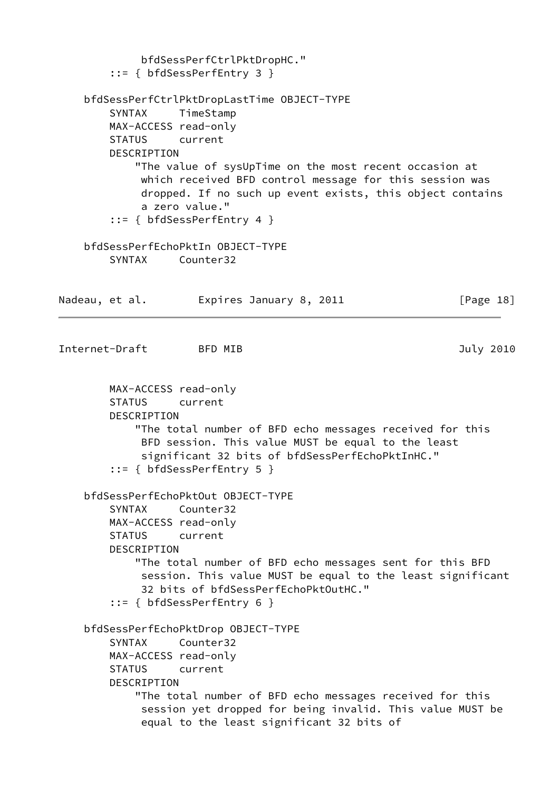```
 bfdSessPerfCtrlPktDropHC."
        ::= { bfdSessPerfEntry 3 }
    bfdSessPerfCtrlPktDropLastTime OBJECT-TYPE
        SYNTAX TimeStamp
        MAX-ACCESS read-only
        STATUS current
        DESCRIPTION
            "The value of sysUpTime on the most recent occasion at
             which received BFD control message for this session was
             dropped. If no such up event exists, this object contains
             a zero value."
        ::= { bfdSessPerfEntry 4 }
    bfdSessPerfEchoPktIn OBJECT-TYPE
        SYNTAX Counter32
Nadeau, et al. Expires January 8, 2011 [Page 18]
Internet-Draft BFD MIB 3010
        MAX-ACCESS read-only
        STATUS current
        DESCRIPTION
            "The total number of BFD echo messages received for this
             BFD session. This value MUST be equal to the least
             significant 32 bits of bfdSessPerfEchoPktInHC."
        ::= { bfdSessPerfEntry 5 }
    bfdSessPerfEchoPktOut OBJECT-TYPE
        SYNTAX Counter32
        MAX-ACCESS read-only
        STATUS current
        DESCRIPTION
            "The total number of BFD echo messages sent for this BFD
             session. This value MUST be equal to the least significant
             32 bits of bfdSessPerfEchoPktOutHC."
        ::= { bfdSessPerfEntry 6 }
    bfdSessPerfEchoPktDrop OBJECT-TYPE
        SYNTAX Counter32
        MAX-ACCESS read-only
        STATUS current
        DESCRIPTION
            "The total number of BFD echo messages received for this
             session yet dropped for being invalid. This value MUST be
             equal to the least significant 32 bits of
```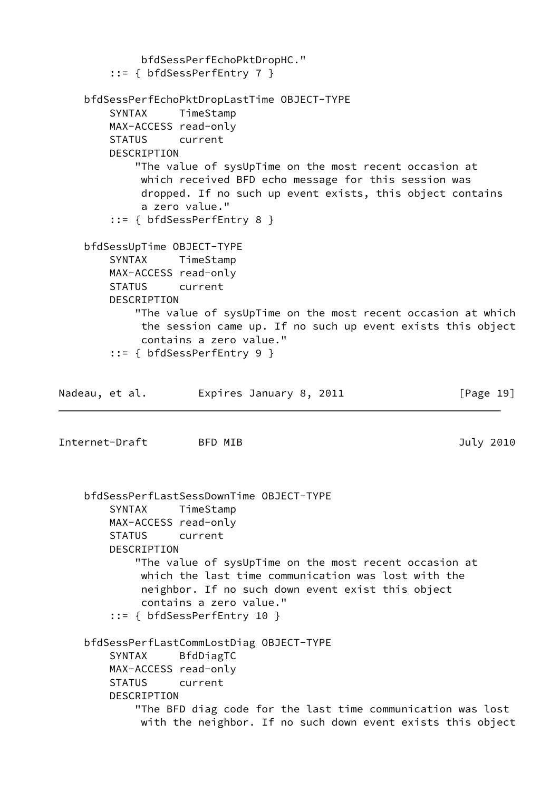```
 bfdSessPerfEchoPktDropHC."
        ::= { bfdSessPerfEntry 7 }
    bfdSessPerfEchoPktDropLastTime OBJECT-TYPE
        SYNTAX TimeStamp
        MAX-ACCESS read-only
        STATUS current
        DESCRIPTION
            "The value of sysUpTime on the most recent occasion at
             which received BFD echo message for this session was
             dropped. If no such up event exists, this object contains
             a zero value."
        ::= { bfdSessPerfEntry 8 }
    bfdSessUpTime OBJECT-TYPE
        SYNTAX TimeStamp
        MAX-ACCESS read-only
        STATUS current
        DESCRIPTION
            "The value of sysUpTime on the most recent occasion at which
             the session came up. If no such up event exists this object
             contains a zero value."
        ::= { bfdSessPerfEntry 9 }
Nadeau, et al. Expires January 8, 2011 [Page 19]
Internet-Draft BFD MIB 3010
    bfdSessPerfLastSessDownTime OBJECT-TYPE
        SYNTAX TimeStamp
        MAX-ACCESS read-only
        STATUS current
        DESCRIPTION
            "The value of sysUpTime on the most recent occasion at
             which the last time communication was lost with the
             neighbor. If no such down event exist this object
             contains a zero value."
        ::= { bfdSessPerfEntry 10 }
    bfdSessPerfLastCommLostDiag OBJECT-TYPE
        SYNTAX BfdDiagTC
        MAX-ACCESS read-only
        STATUS current
        DESCRIPTION
            "The BFD diag code for the last time communication was lost
             with the neighbor. If no such down event exists this object
```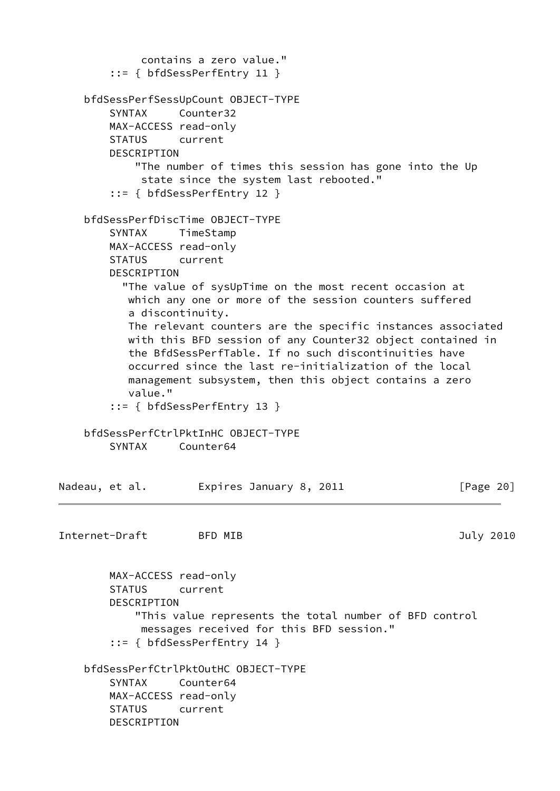```
 contains a zero value."
         ::= { bfdSessPerfEntry 11 }
     bfdSessPerfSessUpCount OBJECT-TYPE
        SYNTAX Counter32
        MAX-ACCESS read-only
        STATUS current
        DESCRIPTION
            "The number of times this session has gone into the Up
             state since the system last rebooted."
         ::= { bfdSessPerfEntry 12 }
    bfdSessPerfDiscTime OBJECT-TYPE
        SYNTAX TimeStamp
        MAX-ACCESS read-only
        STATUS current
        DESCRIPTION
          "The value of sysUpTime on the most recent occasion at
           which any one or more of the session counters suffered
           a discontinuity.
           The relevant counters are the specific instances associated
           with this BFD session of any Counter32 object contained in
           the BfdSessPerfTable. If no such discontinuities have
           occurred since the last re-initialization of the local
           management subsystem, then this object contains a zero
           value."
         ::= { bfdSessPerfEntry 13 }
    bfdSessPerfCtrlPktInHC OBJECT-TYPE
        SYNTAX Counter64
Nadeau, et al.     Expires January 8, 2011           [Page 20]
Internet-Draft BFD MIB 3010
        MAX-ACCESS read-only
        STATUS current
        DESCRIPTION
            "This value represents the total number of BFD control
             messages received for this BFD session."
         ::= { bfdSessPerfEntry 14 }
     bfdSessPerfCtrlPktOutHC OBJECT-TYPE
        SYNTAX Counter64
        MAX-ACCESS read-only
        STATUS current
        DESCRIPTION
```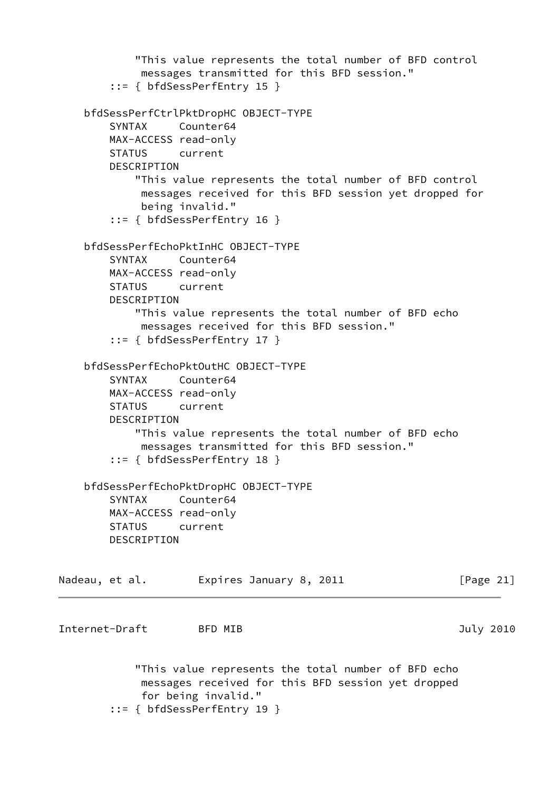```
 "This value represents the total number of BFD control
             messages transmitted for this BFD session."
         ::= { bfdSessPerfEntry 15 }
     bfdSessPerfCtrlPktDropHC OBJECT-TYPE
         SYNTAX Counter64
        MAX-ACCESS read-only
        STATUS current
        DESCRIPTION
            "This value represents the total number of BFD control
             messages received for this BFD session yet dropped for
             being invalid."
         ::= { bfdSessPerfEntry 16 }
     bfdSessPerfEchoPktInHC OBJECT-TYPE
        SYNTAX Counter64
        MAX-ACCESS read-only
        STATUS current
        DESCRIPTION
            "This value represents the total number of BFD echo
             messages received for this BFD session."
         ::= { bfdSessPerfEntry 17 }
    bfdSessPerfEchoPktOutHC OBJECT-TYPE
         SYNTAX Counter64
        MAX-ACCESS read-only
        STATUS current
        DESCRIPTION
            "This value represents the total number of BFD echo
             messages transmitted for this BFD session."
         ::= { bfdSessPerfEntry 18 }
     bfdSessPerfEchoPktDropHC OBJECT-TYPE
        SYNTAX Counter64
        MAX-ACCESS read-only
        STATUS current
        DESCRIPTION
Nadeau, et al.         Expires January 8, 2011               [Page 21]
Internet-Draft BFD MIB July 2010
            "This value represents the total number of BFD echo
             messages received for this BFD session yet dropped
             for being invalid."
         ::= { bfdSessPerfEntry 19 }
```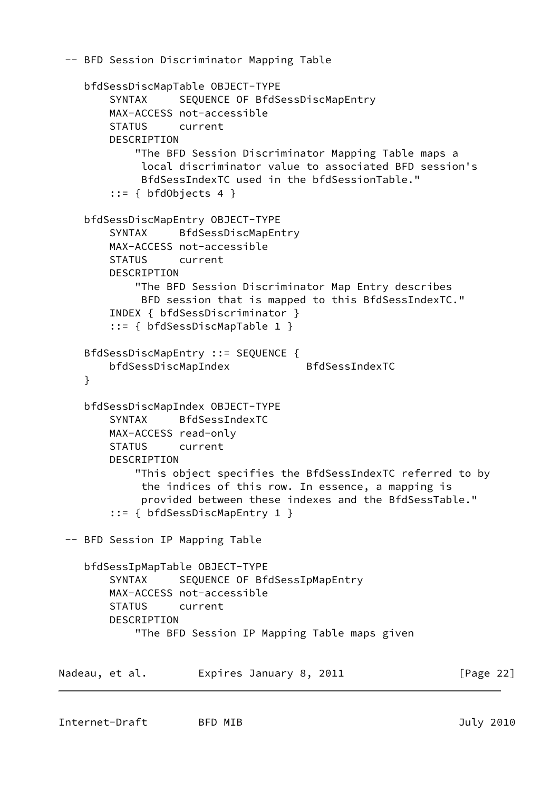```
 -- BFD Session Discriminator Mapping Table
     bfdSessDiscMapTable OBJECT-TYPE
        SYNTAX SEQUENCE OF BfdSessDiscMapEntry
        MAX-ACCESS not-accessible
         STATUS current
         DESCRIPTION
             "The BFD Session Discriminator Mapping Table maps a
             local discriminator value to associated BFD session's
             BfdSessIndexTC used in the bfdSessionTable."
        ::= { bfdObjects 4 }
     bfdSessDiscMapEntry OBJECT-TYPE
         SYNTAX BfdSessDiscMapEntry
        MAX-ACCESS not-accessible
         STATUS current
         DESCRIPTION
             "The BFD Session Discriminator Map Entry describes
             BFD session that is mapped to this BfdSessIndexTC."
         INDEX { bfdSessDiscriminator }
         ::= { bfdSessDiscMapTable 1 }
     BfdSessDiscMapEntry ::= SEQUENCE {
        bfdSessDiscMapIndex BfdSessIndexTC
     }
     bfdSessDiscMapIndex OBJECT-TYPE
         SYNTAX BfdSessIndexTC
        MAX-ACCESS read-only
         STATUS current
         DESCRIPTION
             "This object specifies the BfdSessIndexTC referred to by
             the indices of this row. In essence, a mapping is
              provided between these indexes and the BfdSessTable."
         ::= { bfdSessDiscMapEntry 1 }
  -- BFD Session IP Mapping Table
     bfdSessIpMapTable OBJECT-TYPE
        SYNTAX SEQUENCE OF BfdSessIpMapEntry
        MAX-ACCESS not-accessible
         STATUS current
         DESCRIPTION
             "The BFD Session IP Mapping Table maps given
Nadeau, et al.         Expires January 8, 2011             [Page 22]
```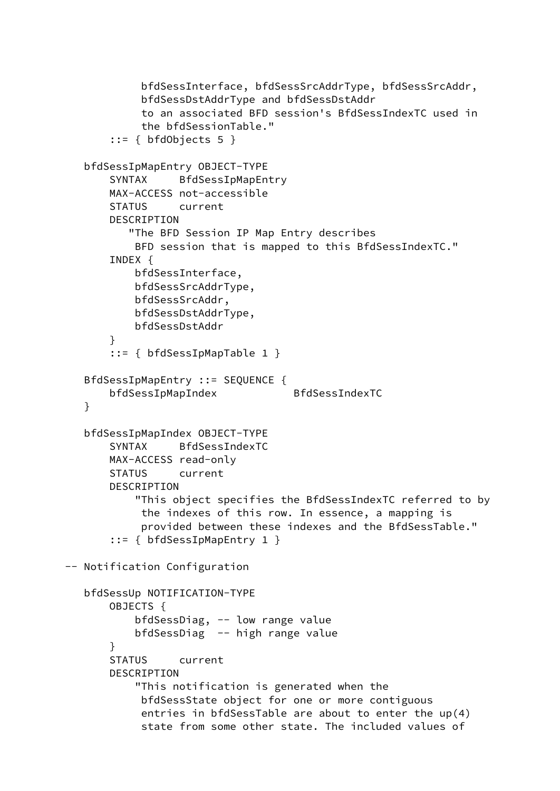```
 bfdSessInterface, bfdSessSrcAddrType, bfdSessSrcAddr,
             bfdSessDstAddrType and bfdSessDstAddr
             to an associated BFD session's BfdSessIndexTC used in
             the bfdSessionTable."
       ::= f bfdObiects 5 bfdSessIpMapEntry OBJECT-TYPE
        SYNTAX BfdSessIpMapEntry
        MAX-ACCESS not-accessible
        STATUS current
        DESCRIPTION
           "The BFD Session IP Map Entry describes
            BFD session that is mapped to this BfdSessIndexTC."
        INDEX {
            bfdSessInterface,
            bfdSessSrcAddrType,
            bfdSessSrcAddr,
            bfdSessDstAddrType,
            bfdSessDstAddr
        }
        ::= { bfdSessIpMapTable 1 }
    BfdSessIpMapEntry ::= SEQUENCE {
        bfdSessIpMapIndex BfdSessIndexTC
   }
   bfdSessIpMapIndex OBJECT-TYPE
        SYNTAX BfdSessIndexTC
       MAX-ACCESS read-only
        STATUS current
        DESCRIPTION
            "This object specifies the BfdSessIndexTC referred to by
             the indexes of this row. In essence, a mapping is
             provided between these indexes and the BfdSessTable."
        ::= { bfdSessIpMapEntry 1 }
 -- Notification Configuration
    bfdSessUp NOTIFICATION-TYPE
        OBJECTS {
            bfdSessDiag, -- low range value
            bfdSessDiag -- high range value
        }
        STATUS current
        DESCRIPTION
            "This notification is generated when the
             bfdSessState object for one or more contiguous
             entries in bfdSessTable are about to enter the up(4)
             state from some other state. The included values of
```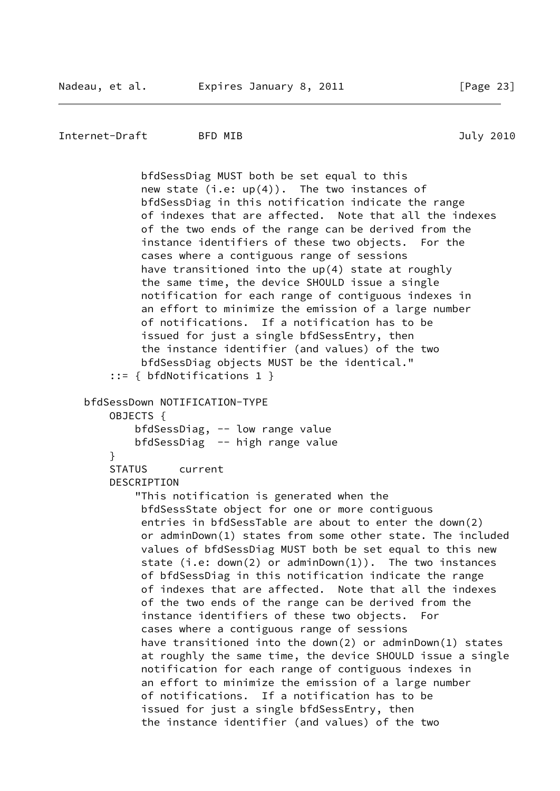```
Internet-Draft BFD MIB July 2010
```
 bfdSessDiag MUST both be set equal to this new state (i.e: up(4)). The two instances of bfdSessDiag in this notification indicate the range of indexes that are affected. Note that all the indexes of the two ends of the range can be derived from the instance identifiers of these two objects. For the cases where a contiguous range of sessions have transitioned into the up(4) state at roughly the same time, the device SHOULD issue a single notification for each range of contiguous indexes in an effort to minimize the emission of a large number of notifications. If a notification has to be issued for just a single bfdSessEntry, then the instance identifier (and values) of the two bfdSessDiag objects MUST be the identical." ::= { bfdNotifications 1 } bfdSessDown NOTIFICATION-TYPE OBJECTS { bfdSessDiag, -- low range value bfdSessDiag -- high range value } STATUS current DESCRIPTION "This notification is generated when the bfdSessState object for one or more contiguous entries in bfdSessTable are about to enter the down(2) or adminDown(1) states from some other state. The included values of bfdSessDiag MUST both be set equal to this new state (i.e: down(2) or adminDown(1)). The two instances of bfdSessDiag in this notification indicate the range of indexes that are affected. Note that all the indexes of the two ends of the range can be derived from the instance identifiers of these two objects. For cases where a contiguous range of sessions have transitioned into the down(2) or adminDown(1) states at roughly the same time, the device SHOULD issue a single notification for each range of contiguous indexes in an effort to minimize the emission of a large number of notifications. If a notification has to be issued for just a single bfdSessEntry, then the instance identifier (and values) of the two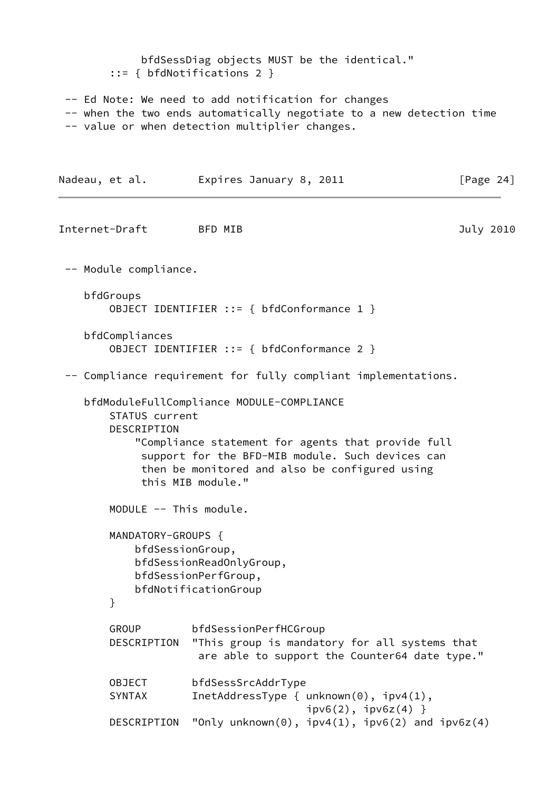```
 bfdSessDiag objects MUST be the identical."
        ::= { bfdNotifications 2 }
  -- Ed Note: We need to add notification for changes
  -- when the two ends automatically negotiate to a new detection time
  -- value or when detection multiplier changes.
Nadeau, et al. Expires January 8, 2011 [Page 24]
Internet-Draft BFD MIB July 2010
  -- Module compliance.
    bfdGroups
        OBJECT IDENTIFIER ::= { bfdConformance 1 }
    bfdCompliances
        OBJECT IDENTIFIER ::= { bfdConformance 2 }
  -- Compliance requirement for fully compliant implementations.
    bfdModuleFullCompliance MODULE-COMPLIANCE
        STATUS current
        DESCRIPTION
            "Compliance statement for agents that provide full
             support for the BFD-MIB module. Such devices can
             then be monitored and also be configured using
             this MIB module."
        MODULE -- This module.
        MANDATORY-GROUPS {
            bfdSessionGroup,
            bfdSessionReadOnlyGroup,
            bfdSessionPerfGroup,
            bfdNotificationGroup
        }
        GROUP bfdSessionPerfHCGroup
        DESCRIPTION "This group is mandatory for all systems that
                      are able to support the Counter64 date type."
        OBJECT bfdSessSrcAddrType
       SYNTAX InetAddressType { unknown(0), ipv4(1),
                                      ipv6(2), ipv6z(4) }
        DESCRIPTION "Only unknown(0), ipv4(1), ipv6(2) and ipv6z(4)
```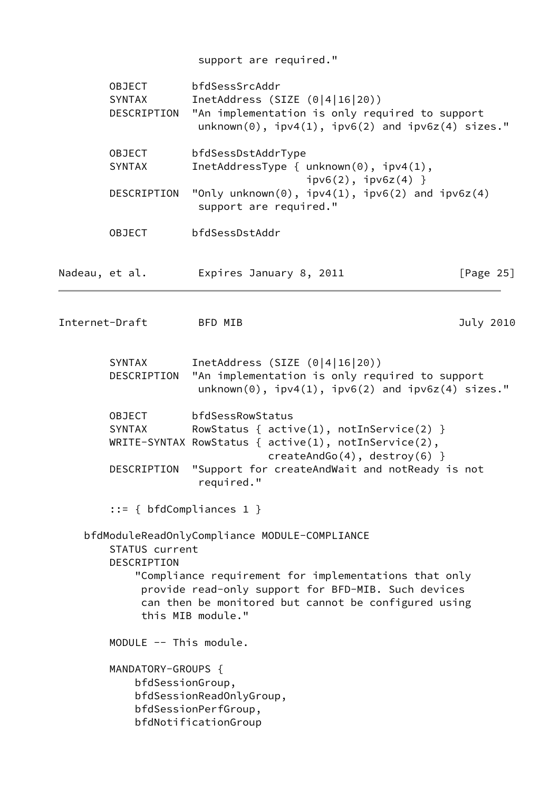|                         |                                                                                                                                                                                                                                            | support are required."                                                                                                                                                                                                |              |  |  |  |
|-------------------------|--------------------------------------------------------------------------------------------------------------------------------------------------------------------------------------------------------------------------------------------|-----------------------------------------------------------------------------------------------------------------------------------------------------------------------------------------------------------------------|--------------|--|--|--|
|                         | bfdSessSrcAddr<br>OBJECT<br>InetAddress (SIZE $(0 4 16 20)$ )<br>SYNTAX<br>"An implementation is only required to support<br>DESCRIPTION<br>$unknown(0)$ , $ipv4(1)$ , $ipv6(2)$ and $ipv6z(4)$ sizes."                                    |                                                                                                                                                                                                                       |              |  |  |  |
|                         | bfdSessDstAddrType<br><b>OBJECT</b><br>InetAddressType { $unknown(0)$ , $ipv4(1)$ ,<br><b>SYNTAX</b><br>$ipv6(2)$ , $ipv6z(4)$ }<br>"Only unknown $(0)$ , ipv4 $(1)$ , ipv6 $(2)$ and ipv6z $(4)$<br>DESCRIPTION<br>support are required." |                                                                                                                                                                                                                       |              |  |  |  |
|                         |                                                                                                                                                                                                                                            |                                                                                                                                                                                                                       |              |  |  |  |
|                         | <b>OBJECT</b>                                                                                                                                                                                                                              | bfdSessDstAddr                                                                                                                                                                                                        |              |  |  |  |
| Nadeau, et al.          |                                                                                                                                                                                                                                            | Expires January 8, 2011                                                                                                                                                                                               | [Page $25$ ] |  |  |  |
| Internet-Draft          |                                                                                                                                                                                                                                            | BFD MIB                                                                                                                                                                                                               | July 2010    |  |  |  |
|                         | SYNTAX<br>DESCRIPTION                                                                                                                                                                                                                      | InetAddress (SIZE $(0 4 16 20)$ )<br>"An implementation is only required to support<br>$unknown(0)$ , $ipv4(1)$ , $ipv6(2)$ and $ipv6z(4)$ sizes."                                                                    |              |  |  |  |
| <b>OBJECT</b><br>SYNTAX |                                                                                                                                                                                                                                            | bfdSessRowStatus<br>RowStatus { $active(1)$ , $notInService(2)$ }<br>WRITE-SYNTAX RowStatus { $active(1)$ , $notInService(2)$ ,<br>$createAndGo(4), destroy(6)$ }                                                     |              |  |  |  |
|                         | DESCRIPTION                                                                                                                                                                                                                                | "Support for createAndWait and notReady is not<br>required."                                                                                                                                                          |              |  |  |  |
|                         | $::= \{ bfdCompliances 1 \}$                                                                                                                                                                                                               |                                                                                                                                                                                                                       |              |  |  |  |
|                         | STATUS current<br>DESCRIPTION                                                                                                                                                                                                              | bfdModuleReadOnlyCompliance MODULE-COMPLIANCE<br>"Compliance requirement for implementations that only<br>provide read-only support for BFD-MIB. Such devices<br>can then be monitored but cannot be configured using |              |  |  |  |
|                         |                                                                                                                                                                                                                                            | this MIB module."                                                                                                                                                                                                     |              |  |  |  |
|                         | MODULE -- This module.                                                                                                                                                                                                                     |                                                                                                                                                                                                                       |              |  |  |  |
|                         | MANDATORY-GROUPS {<br>bfdSessionGroup,                                                                                                                                                                                                     | bfdSessionReadOnlyGroup,<br>bfdSessionPerfGroup,<br>bfdNotificationGroup                                                                                                                                              |              |  |  |  |
|                         |                                                                                                                                                                                                                                            |                                                                                                                                                                                                                       |              |  |  |  |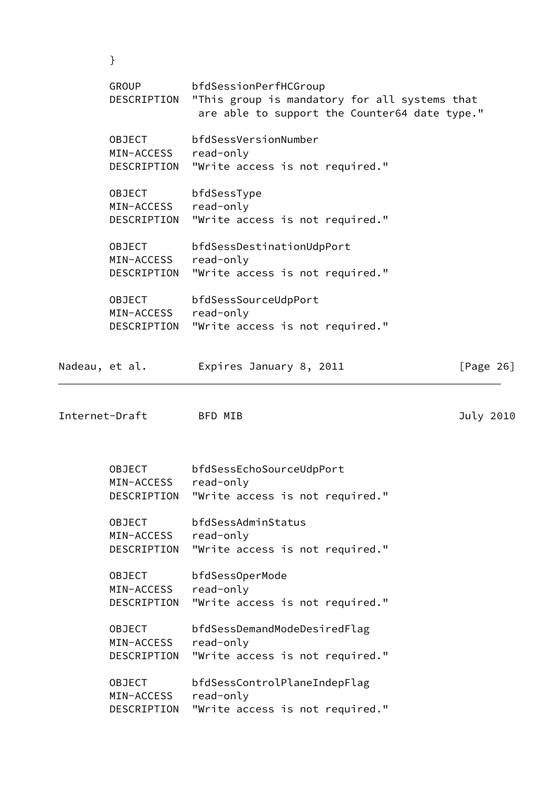| GROUP<br>DESCRIPTION | bfdSessionPerfHCGroup<br>"This group is mandatory for all systems that<br>are able to support the Counter64 date type." |
|----------------------|-------------------------------------------------------------------------------------------------------------------------|
| <b>OBJECT</b>        | bfdSessVersionNumber                                                                                                    |
| MIN-ACCESS           | read-only                                                                                                               |
| DESCRIPTION          | "Write access is not required."                                                                                         |
| <b>OBJECT</b>        | bfdSessType                                                                                                             |
| MIN-ACCESS           | read-only                                                                                                               |
| DESCRIPTION          | "Write access is not required."                                                                                         |
| <b>OBJECT</b>        | bfdSessDestinationUdpPort                                                                                               |
| MIN-ACCESS           | read-only                                                                                                               |
| DESCRIPTION          | "Write access is not required."                                                                                         |
| <b>OBJECT</b>        | bfdSessSourceUdpPort                                                                                                    |
| MIN-ACCESS           | read-only                                                                                                               |
| DESCRIPTION          | "Write access is not required."                                                                                         |

Nadeau, et al. Expires January 8, 2011 [Page 26]

Internet-Draft BFD MIB 3010

}

 OBJECT bfdSessEchoSourceUdpPort MIN-ACCESS read-only DESCRIPTION "Write access is not required." OBJECT bfdSessAdminStatus MIN-ACCESS read-only DESCRIPTION "Write access is not required." OBJECT bfdSessOperMode MIN-ACCESS read-only DESCRIPTION "Write access is not required." OBJECT bfdSessDemandModeDesiredFlag MIN-ACCESS read-only DESCRIPTION "Write access is not required." OBJECT bfdSessControlPlaneIndepFlag MIN-ACCESS read-only DESCRIPTION "Write access is not required."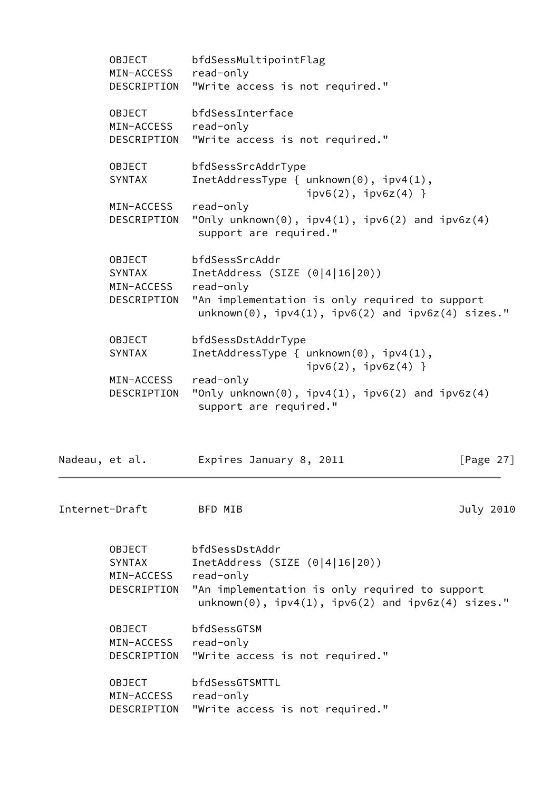|                | <b>OBJECT</b><br>MIN-ACCESS<br>DESCRIPTION           | bfdSessMultipointFlag<br>read-only<br>"Write access is not required."                                                                                                             |              |
|----------------|------------------------------------------------------|-----------------------------------------------------------------------------------------------------------------------------------------------------------------------------------|--------------|
|                | OBJECT<br>MIN-ACCESS<br>DESCRIPTION                  | bfdSessInterface<br>read-only<br>"Write access is not required."                                                                                                                  |              |
|                | OBJECT<br><b>SYNTAX</b>                              | bfdSessSrcAddrType<br>InetAddressType { $unknown(0)$ , $ipv4(1)$ ,<br>$ipv6(2)$ , $ipv6z(4)$ }                                                                                    |              |
|                | MIN-ACCESS<br>DESCRIPTION                            | read-only<br>"Only unknown $(0)$ , ipv4 $(1)$ , ipv6 $(2)$ and ipv6z $(4)$<br>support are required."                                                                              |              |
|                | OBJECT<br><b>SYNTAX</b><br>MIN-ACCESS<br>DESCRIPTION | bfdSessSrcAddr<br>InetAddress (SIZE $(0 4 16 20)$ )<br>read-only<br>"An implementation is only required to support<br>$unknown(0)$ , $ipv4(1)$ , $ipv6(2)$ and $ipv6z(4)$ sizes." |              |
|                | <b>OBJECT</b><br><b>SYNTAX</b>                       | bfdSessDstAddrType<br>InetAddressType $\{$ unknown(0), $ipv4(1)$ ,<br>$ipv6(2)$ , $ipv6z(4)$ }                                                                                    |              |
|                | MIN-ACCESS<br>DESCRIPTION                            | read-only<br>"Only unknown $(0)$ , ipv4 $(1)$ , ipv6 $(2)$ and ipv6z $(4)$<br>support are required."                                                                              |              |
| Nadeau, et al. |                                                      | Expires January 8, 2011                                                                                                                                                           | [Page $27$ ] |
|                | Internet-Draft                                       | BFD MIB                                                                                                                                                                           | July 2010    |
|                | OBJECT<br>SYNTAX<br>MIN-ACCESS<br>DESCRIPTION        | bfdSessDstAddr<br>InetAddress (SIZE $(0 4 16 20)$ )<br>read-only<br>"An implementation is only required to support<br>$unknown(0)$ , $ipv4(1)$ , $ipv6(2)$ and $ipv6z(4)$ sizes." |              |
|                | <b>OBJECT</b><br>MIN-ACCESS<br>DESCRIPTION           | bfdSessGTSM<br>read-only<br>"Write access is not required."                                                                                                                       |              |
|                | <b>OBJECT</b><br>MIN-ACCESS<br>DESCRIPTION           | bfdSessGTSMTTL<br>read-only<br>"Write access is not required."                                                                                                                    |              |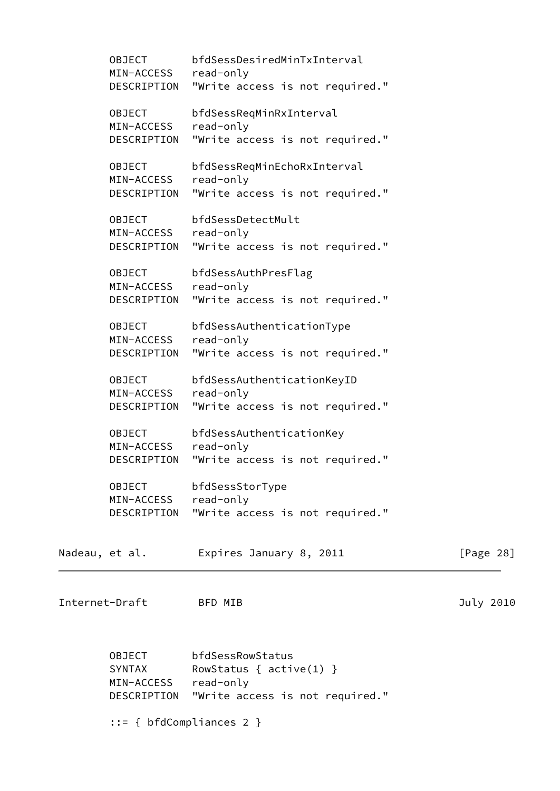|                | <b>OBJECT</b><br>MIN-ACCESS read-only | bfdSessDesiredMinTxInterval<br>DESCRIPTION "Write access is not required." |              |
|----------------|---------------------------------------|----------------------------------------------------------------------------|--------------|
|                |                                       |                                                                            |              |
|                | OBJECT                                | bfdSessReqMinRxInterval                                                    |              |
|                | MIN-ACCESS                            | read-only                                                                  |              |
|                | DESCRIPTION                           | "Write access is not required."                                            |              |
|                | OBJECT                                | bfdSessReqMinEchoRxInterval                                                |              |
|                | MIN-ACCESS                            | read-only                                                                  |              |
|                | DESCRIPTION                           | "Write access is not required."                                            |              |
|                | <b>OBJECT</b>                         | bfdSessDetectMult                                                          |              |
|                | MIN-ACCESS read-only                  |                                                                            |              |
|                | DESCRIPTION                           | "Write access is not required."                                            |              |
|                |                                       |                                                                            |              |
|                | OBJECT                                | bfdSessAuthPresFlag                                                        |              |
|                | MIN-ACCESS                            | read-only                                                                  |              |
|                | DESCRIPTION                           | "Write access is not required."                                            |              |
|                | <b>OBJECT</b>                         | bfdSessAuthenticationType                                                  |              |
|                | MIN-ACCESS                            | read-only                                                                  |              |
|                | DESCRIPTION                           | "Write access is not required."                                            |              |
|                | OBJECT                                | bfdSessAuthenticationKeyID                                                 |              |
|                | MIN-ACCESS                            | read-only                                                                  |              |
|                | DESCRIPTION                           | "Write access is not required."                                            |              |
|                |                                       |                                                                            |              |
|                | OBJECT                                | bfdSessAuthenticationKey                                                   |              |
|                | MIN-ACCESS                            | read-only                                                                  |              |
|                | DESCRIPTION                           | "Write access is not required."                                            |              |
|                | OBJECT                                | bfdSessStorType                                                            |              |
|                | MIN-ACCESS                            | read-only                                                                  |              |
|                | DESCRIPTION                           | "Write access is not required."                                            |              |
|                |                                       |                                                                            |              |
| Nadeau, et al. |                                       | Expires January 8, 2011                                                    | [Page $28$ ] |
|                |                                       |                                                                            |              |
|                |                                       |                                                                            |              |
| Internet-Draft |                                       | BFD MIB                                                                    | July 2010    |
|                |                                       |                                                                            |              |
|                |                                       |                                                                            |              |
|                | OBJECT                                | bfdSessRowStatus                                                           |              |
|                | SYNTAX                                | RowStatus { $active(1)$ }                                                  |              |
|                | MIN-ACCESS                            | read-only                                                                  |              |
|                | DESCRIPTION                           | "Write access is not required."                                            |              |
|                |                                       |                                                                            |              |
|                |                                       |                                                                            |              |

::= { bfdCompliances 2 }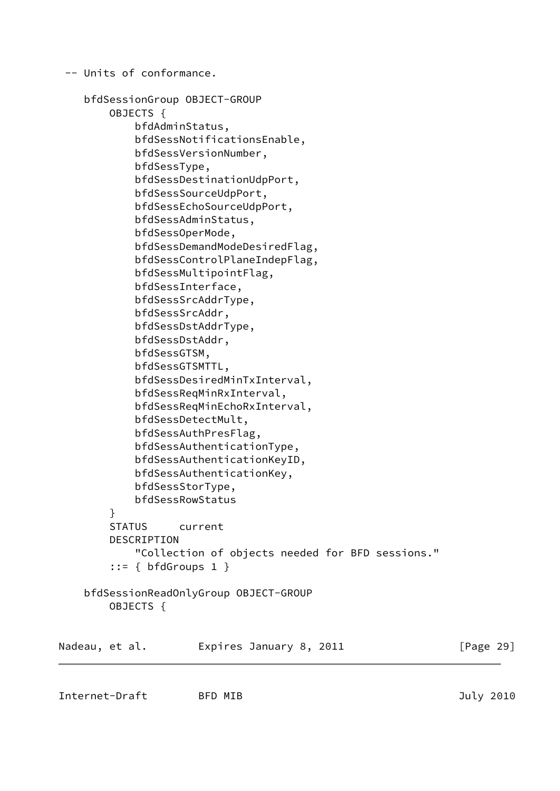```
 -- Units of conformance.
     bfdSessionGroup OBJECT-GROUP
         OBJECTS {
             bfdAdminStatus,
             bfdSessNotificationsEnable,
             bfdSessVersionNumber,
             bfdSessType,
             bfdSessDestinationUdpPort,
             bfdSessSourceUdpPort,
             bfdSessEchoSourceUdpPort,
             bfdSessAdminStatus,
             bfdSessOperMode,
             bfdSessDemandModeDesiredFlag,
             bfdSessControlPlaneIndepFlag,
             bfdSessMultipointFlag,
             bfdSessInterface,
             bfdSessSrcAddrType,
             bfdSessSrcAddr,
             bfdSessDstAddrType,
             bfdSessDstAddr,
             bfdSessGTSM,
             bfdSessGTSMTTL,
             bfdSessDesiredMinTxInterval,
             bfdSessReqMinRxInterval,
             bfdSessReqMinEchoRxInterval,
             bfdSessDetectMult,
             bfdSessAuthPresFlag,
             bfdSessAuthenticationType,
             bfdSessAuthenticationKeyID,
             bfdSessAuthenticationKey,
             bfdSessStorType,
             bfdSessRowStatus
         }
         STATUS current
         DESCRIPTION
              "Collection of objects needed for BFD sessions."
        ::= \{ \text{bfGrows 1} \} bfdSessionReadOnlyGroup OBJECT-GROUP
         OBJECTS {
Nadeau, et al.     Expires January 8, 2011           [Page 29]
```
Internet-Draft BFD MIB 3010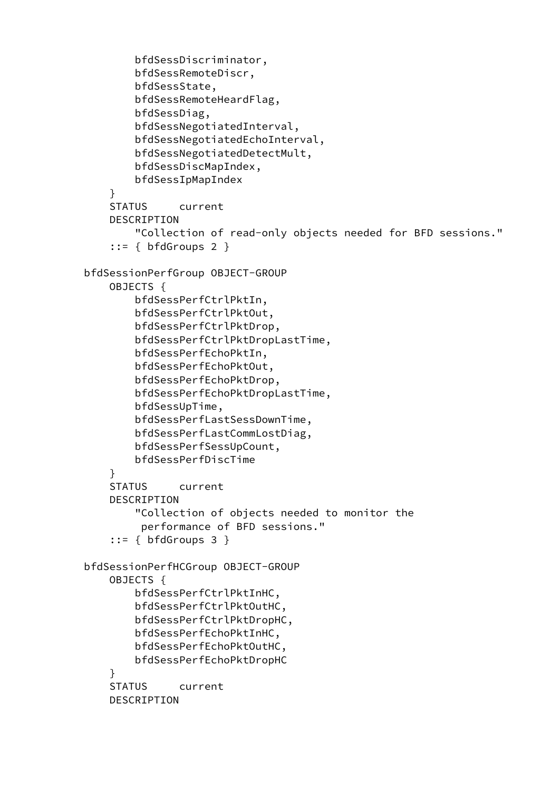```
 bfdSessDiscriminator,
         bfdSessRemoteDiscr,
         bfdSessState,
         bfdSessRemoteHeardFlag,
         bfdSessDiag,
         bfdSessNegotiatedInterval,
         bfdSessNegotiatedEchoInterval,
         bfdSessNegotiatedDetectMult,
         bfdSessDiscMapIndex,
         bfdSessIpMapIndex
     }
     STATUS current
     DESCRIPTION
         "Collection of read-only objects needed for BFD sessions."
    ::= { bfdGroups 2 } bfdSessionPerfGroup OBJECT-GROUP
     OBJECTS {
         bfdSessPerfCtrlPktIn,
         bfdSessPerfCtrlPktOut,
         bfdSessPerfCtrlPktDrop,
         bfdSessPerfCtrlPktDropLastTime,
         bfdSessPerfEchoPktIn,
         bfdSessPerfEchoPktOut,
         bfdSessPerfEchoPktDrop,
         bfdSessPerfEchoPktDropLastTime,
         bfdSessUpTime,
         bfdSessPerfLastSessDownTime,
         bfdSessPerfLastCommLostDiag,
         bfdSessPerfSessUpCount,
         bfdSessPerfDiscTime
     }
     STATUS current
     DESCRIPTION
         "Collection of objects needed to monitor the
          performance of BFD sessions."
    ::= { bfdGroups 3 } bfdSessionPerfHCGroup OBJECT-GROUP
     OBJECTS {
         bfdSessPerfCtrlPktInHC,
         bfdSessPerfCtrlPktOutHC,
         bfdSessPerfCtrlPktDropHC,
         bfdSessPerfEchoPktInHC,
         bfdSessPerfEchoPktOutHC,
         bfdSessPerfEchoPktDropHC
     }
     STATUS current
     DESCRIPTION
```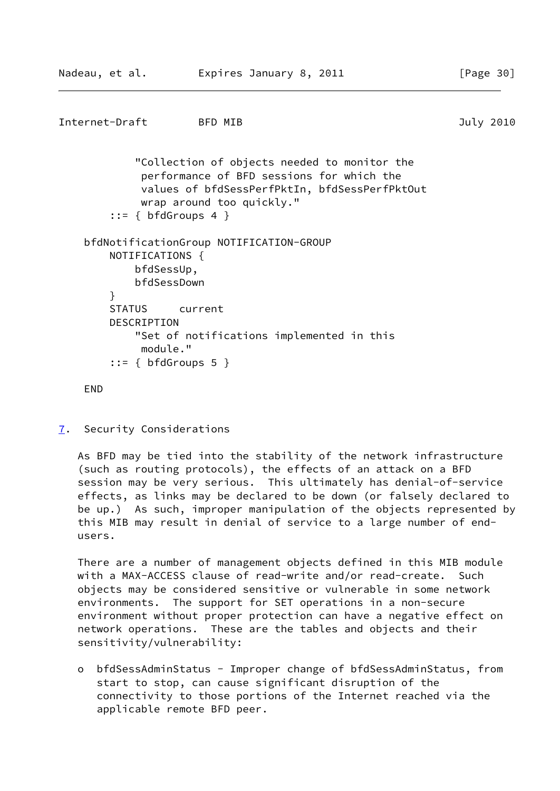```
Internet-Draft BFD MIB 3010
            "Collection of objects needed to monitor the
             performance of BFD sessions for which the
             values of bfdSessPerfPktIn, bfdSessPerfPktOut
             wrap around too quickly."
       ::= \{ bfdGroups 4 \} bfdNotificationGroup NOTIFICATION-GROUP
        NOTIFICATIONS {
            bfdSessUp,
            bfdSessDown
        }
        STATUS current
       DESCRIPTION
            "Set of notifications implemented in this
             module."
       ::= { bfdGroups 5 }
    END
```

```
7. Security Considerations
```
 As BFD may be tied into the stability of the network infrastructure (such as routing protocols), the effects of an attack on a BFD session may be very serious. This ultimately has denial-of-service effects, as links may be declared to be down (or falsely declared to be up.) As such, improper manipulation of the objects represented by this MIB may result in denial of service to a large number of end users.

 There are a number of management objects defined in this MIB module with a MAX-ACCESS clause of read-write and/or read-create. Such objects may be considered sensitive or vulnerable in some network environments. The support for SET operations in a non-secure environment without proper protection can have a negative effect on network operations. These are the tables and objects and their sensitivity/vulnerability:

 o bfdSessAdminStatus - Improper change of bfdSessAdminStatus, from start to stop, can cause significant disruption of the connectivity to those portions of the Internet reached via the applicable remote BFD peer.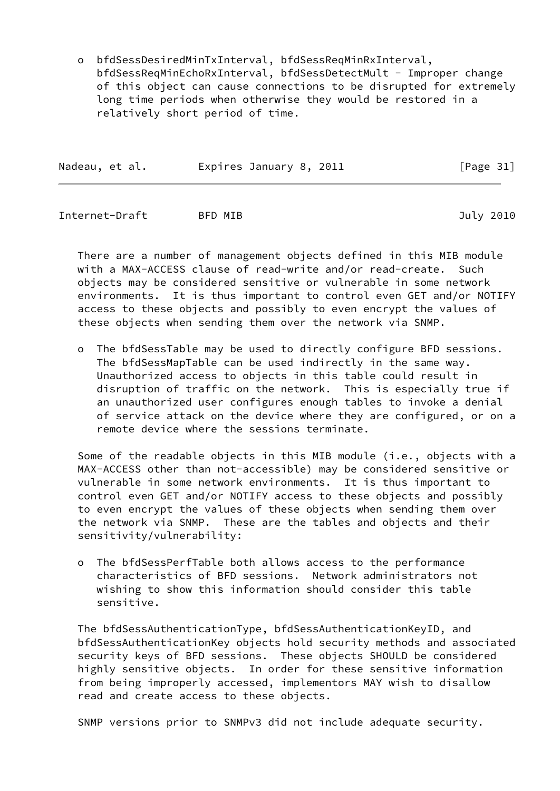o bfdSessDesiredMinTxInterval, bfdSessReqMinRxInterval, bfdSessReqMinEchoRxInterval, bfdSessDetectMult - Improper change of this object can cause connections to be disrupted for extremely long time periods when otherwise they would be restored in a relatively short period of time.

| Expires January 8, 2011<br>Nadeau, et al. | [Page 31] |  |
|-------------------------------------------|-----------|--|
|-------------------------------------------|-----------|--|

Internet-Draft BFD MIB July 2010

 There are a number of management objects defined in this MIB module with a MAX-ACCESS clause of read-write and/or read-create. Such objects may be considered sensitive or vulnerable in some network environments. It is thus important to control even GET and/or NOTIFY access to these objects and possibly to even encrypt the values of these objects when sending them over the network via SNMP.

 o The bfdSessTable may be used to directly configure BFD sessions. The bfdSessMapTable can be used indirectly in the same way. Unauthorized access to objects in this table could result in disruption of traffic on the network. This is especially true if an unauthorized user configures enough tables to invoke a denial of service attack on the device where they are configured, or on a remote device where the sessions terminate.

Some of the readable objects in this MIB module (i.e., objects with a MAX-ACCESS other than not-accessible) may be considered sensitive or vulnerable in some network environments. It is thus important to control even GET and/or NOTIFY access to these objects and possibly to even encrypt the values of these objects when sending them over the network via SNMP. These are the tables and objects and their sensitivity/vulnerability:

 o The bfdSessPerfTable both allows access to the performance characteristics of BFD sessions. Network administrators not wishing to show this information should consider this table sensitive.

 The bfdSessAuthenticationType, bfdSessAuthenticationKeyID, and bfdSessAuthenticationKey objects hold security methods and associated security keys of BFD sessions. These objects SHOULD be considered highly sensitive objects. In order for these sensitive information from being improperly accessed, implementors MAY wish to disallow read and create access to these objects.

SNMP versions prior to SNMPv3 did not include adequate security.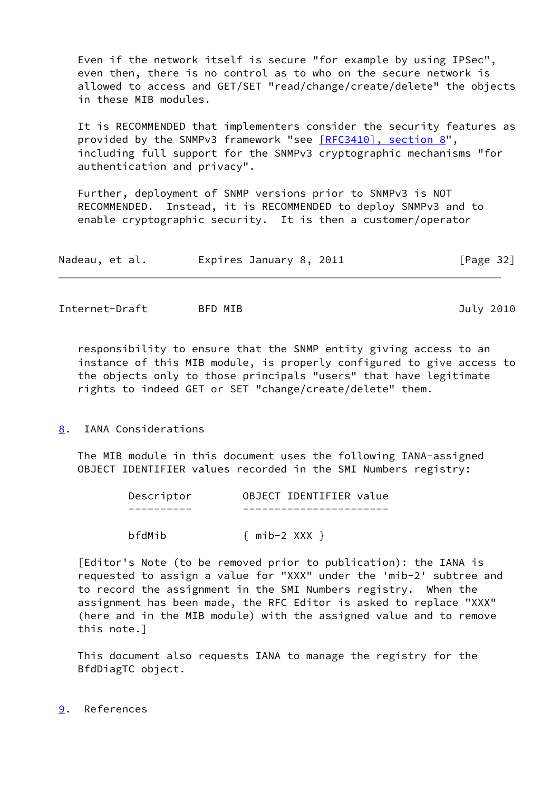Even if the network itself is secure "for example by using IPSec", even then, there is no control as to who on the secure network is allowed to access and GET/SET "read/change/create/delete" the objects in these MIB modules.

 It is RECOMMENDED that implementers consider the security features as provided by the SNMPv3 framework "see [\[RFC3410\], section](https://datatracker.ietf.org/doc/pdf/rfc3410#section-8) 8", including full support for the SNMPv3 cryptographic mechanisms "for authentication and privacy".

 Further, deployment of SNMP versions prior to SNMPv3 is NOT RECOMMENDED. Instead, it is RECOMMENDED to deploy SNMPv3 and to enable cryptographic security. It is then a customer/operator

| Expires January 8, 2011<br>Nadeau, et al. | [Page 32] |
|-------------------------------------------|-----------|
|-------------------------------------------|-----------|

<span id="page-36-1"></span>Internet-Draft BFD MIB 3010

 responsibility to ensure that the SNMP entity giving access to an instance of this MIB module, is properly configured to give access to the objects only to those principals "users" that have legitimate rights to indeed GET or SET "change/create/delete" them.

<span id="page-36-0"></span>[8](#page-36-0). IANA Considerations

 The MIB module in this document uses the following IANA-assigned OBJECT IDENTIFIER values recorded in the SMI Numbers registry:

| Descriptor | OBJECT IDENTIFIER value |
|------------|-------------------------|
|            |                         |
| bfdMib     | $\{$ mib-2 XXX $\}$     |

 [Editor's Note (to be removed prior to publication): the IANA is requested to assign a value for "XXX" under the 'mib-2' subtree and to record the assignment in the SMI Numbers registry. When the assignment has been made, the RFC Editor is asked to replace "XXX" (here and in the MIB module) with the assigned value and to remove this note.]

 This document also requests IANA to manage the registry for the BfdDiagTC object.

<span id="page-36-2"></span>[9](#page-36-2). References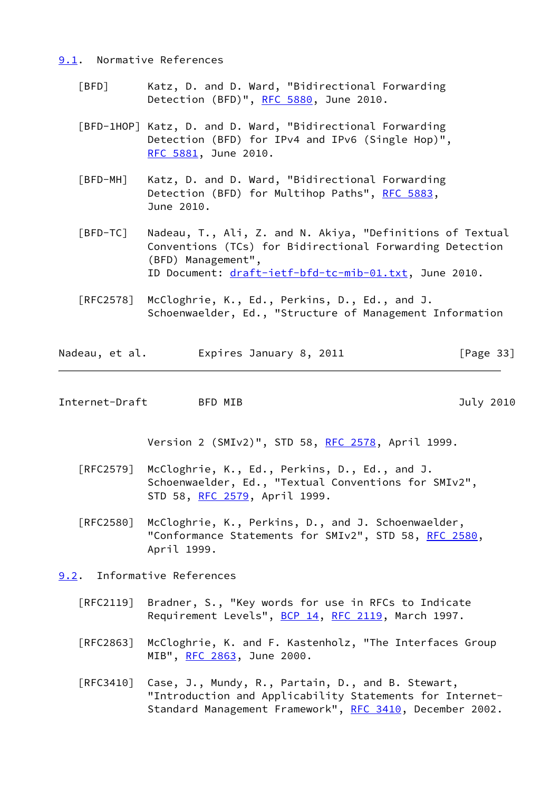#### <span id="page-37-0"></span>[9.1](#page-37-0). Normative References

- <span id="page-37-3"></span> [BFD] Katz, D. and D. Ward, "Bidirectional Forwarding Detection (BFD)", [RFC 5880](https://datatracker.ietf.org/doc/pdf/rfc5880), June 2010.
- <span id="page-37-4"></span> [BFD-1HOP] Katz, D. and D. Ward, "Bidirectional Forwarding Detection (BFD) for IPv4 and IPv6 (Single Hop)", [RFC 5881,](https://datatracker.ietf.org/doc/pdf/rfc5881) June 2010.
- <span id="page-37-5"></span> [BFD-MH] Katz, D. and D. Ward, "Bidirectional Forwarding Detection (BFD) for Multihop Paths", [RFC 5883](https://datatracker.ietf.org/doc/pdf/rfc5883), June 2010.
- [BFD-TC] Nadeau, T., Ali, Z. and N. Akiya, "Definitions of Textual Conventions (TCs) for Bidirectional Forwarding Detection (BFD) Management", ID Document: [draft-ietf-bfd-tc-mib-01.txt](https://datatracker.ietf.org/doc/pdf/draft-ietf-bfd-tc-mib-01.txt), June 2010.
- [RFC2578] McCloghrie, K., Ed., Perkins, D., Ed., and J. Schoenwaelder, Ed., "Structure of Management Information

Nadeau, et al. Expires January 8, 2011 [Page 33]

<span id="page-37-2"></span>Internet-Draft BFD MIB 3010

Version 2 (SMIv2)", STD 58, [RFC 2578,](https://datatracker.ietf.org/doc/pdf/rfc2578) April 1999.

- [RFC2579] McCloghrie, K., Ed., Perkins, D., Ed., and J. Schoenwaelder, Ed., "Textual Conventions for SMIv2", STD 58, [RFC 2579,](https://datatracker.ietf.org/doc/pdf/rfc2579) April 1999.
- [RFC2580] McCloghrie, K., Perkins, D., and J. Schoenwaelder, "Conformance Statements for SMIv2", STD 58, [RFC 2580,](https://datatracker.ietf.org/doc/pdf/rfc2580) April 1999.
- <span id="page-37-1"></span>[9.2](#page-37-1). Informative References
	- [RFC2119] Bradner, S., "Key words for use in RFCs to Indicate Requirement Levels", [BCP 14](https://datatracker.ietf.org/doc/pdf/bcp14), [RFC 2119](https://datatracker.ietf.org/doc/pdf/rfc2119), March 1997.
	- [RFC2863] McCloghrie, K. and F. Kastenholz, "The Interfaces Group MIB", [RFC 2863](https://datatracker.ietf.org/doc/pdf/rfc2863), June 2000.
	- [RFC3410] Case, J., Mundy, R., Partain, D., and B. Stewart, "Introduction and Applicability Statements for Internet- Standard Management Framework", [RFC 3410,](https://datatracker.ietf.org/doc/pdf/rfc3410) December 2002.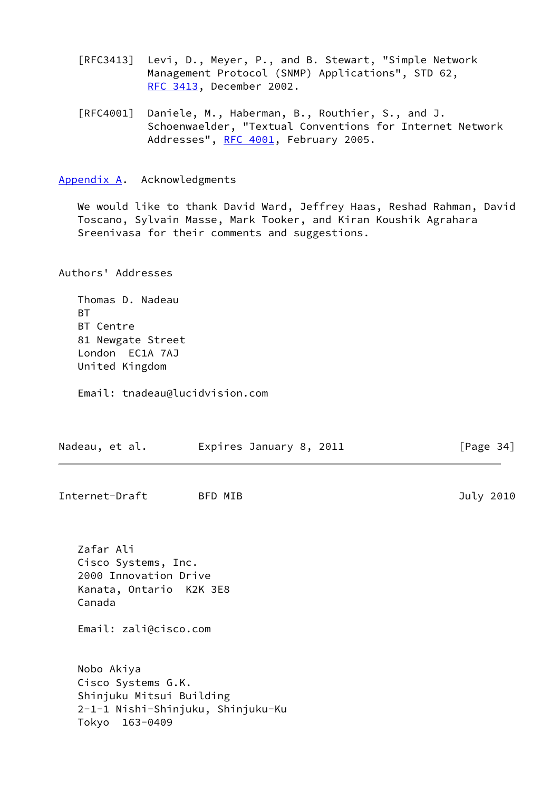[RFC3413] Levi, D., Meyer, P., and B. Stewart, "Simple Network Management Protocol (SNMP) Applications", STD 62, [RFC 3413,](https://datatracker.ietf.org/doc/pdf/rfc3413) December 2002.

 [RFC4001] Daniele, M., Haberman, B., Routhier, S., and J. Schoenwaelder, "Textual Conventions for Internet Network Addresses", [RFC 4001,](https://datatracker.ietf.org/doc/pdf/rfc4001) February 2005.

<span id="page-38-0"></span>[Appendix A.](#page-38-0) Acknowledgments

 We would like to thank David Ward, Jeffrey Haas, Reshad Rahman, David Toscano, Sylvain Masse, Mark Tooker, and Kiran Koushik Agrahara Sreenivasa for their comments and suggestions.

Authors' Addresses

 Thomas D. Nadeau **BT**  BT Centre 81 Newgate Street London EC1A 7AJ United Kingdom

Email: tnadeau@lucidvision.com

| Nadeau, et al.                                                                                                          | Expires January 8, 2011 | [Page $34$ ] |
|-------------------------------------------------------------------------------------------------------------------------|-------------------------|--------------|
| Internet-Draft                                                                                                          | BFD MIB                 | July 2010    |
| Zafar Ali<br>Cisco Systems, Inc.<br>2000 Innovation Drive<br>Kanata, Ontario K2K 3E8<br>Canada<br>Email: zali@cisco.com |                         |              |
| Nobo Akiya<br>Cisco Systems G.K.<br>Shinjuku Mitsui Building<br>2-1-1 Nishi-Shinjuku, Shinjuku-Ku<br>163-0409<br>Tokyo  |                         |              |